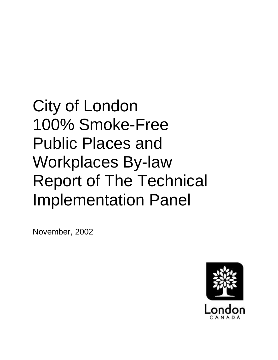City of London 100% Smoke-Free Public Places and Workplaces By-law Report of The Technical Implementation Panel

November, 2002

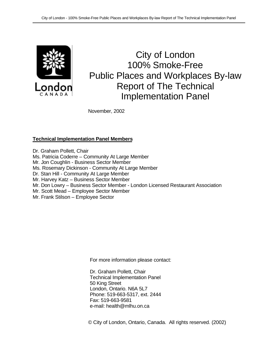

City of London 100% Smoke-Free Public Places and Workplaces By-law Report of The Technical Implementation Panel

November, 2002

## **Technical Implementation Panel Members**

Dr. Graham Pollett, Chair Ms. Patricia Coderre – Community At Large Member Mr. Jon Coughlin - Business Sector Member Ms. Rosemary Dickinson - Community At Large Member Dr. Stan Hill - Community At Large Member Mr. Harvey Katz – Business Sector Member

- Mr. Don Lowry Business Sector Member London Licensed Restaurant Association
- Mr. Scott Mead Employee Sector Member
- Mr. Frank Stilson Employee Sector

For more information please contact:

Dr. Graham Pollett, Chair Technical Implementation Panel 50 King Street London, Ontario. N6A 5L7 Phone: 519-663-5317, ext. 2444 Fax: 519-663-9581 e-mail: health@mlhu.on.ca

© City of London, Ontario, Canada. All rights reserved. (2002)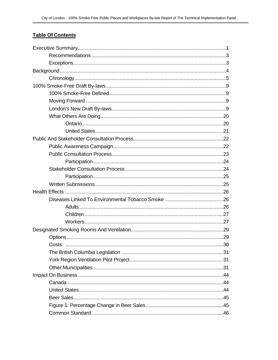## **Table Of Contents**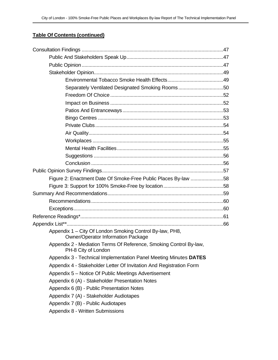## **Table Of Contents (continued)**

| Separately Ventilated Designated Smoking Rooms50                                                      |  |
|-------------------------------------------------------------------------------------------------------|--|
|                                                                                                       |  |
|                                                                                                       |  |
|                                                                                                       |  |
|                                                                                                       |  |
|                                                                                                       |  |
|                                                                                                       |  |
|                                                                                                       |  |
|                                                                                                       |  |
|                                                                                                       |  |
|                                                                                                       |  |
|                                                                                                       |  |
| Figure 2: Enactment Date Of Smoke-Free Public Places By-law 58                                        |  |
|                                                                                                       |  |
|                                                                                                       |  |
|                                                                                                       |  |
|                                                                                                       |  |
|                                                                                                       |  |
|                                                                                                       |  |
| Appendix 1 - City Of London Smoking Control By-law, PH8,<br><b>Owner/Operator Information Package</b> |  |
| Appendix 2 - Mediation Terms Of Reference, Smoking Control By-law,<br>PH-8 City of London             |  |
| Appendix 3 - Technical Implementation Panel Meeting Minutes DATES                                     |  |
| Appendix 4 - Stakeholder Letter Of Invitation And Registration Form                                   |  |
| Appendix 5 - Notice Of Public Meetings Advertisement                                                  |  |
| Appendix 6 (A) - Stakeholder Presentation Notes                                                       |  |
| Appendix 6 (B) - Public Presentation Notes                                                            |  |
| Appendix 7 (A) - Stakeholder Audiotapes                                                               |  |
| Appendix 7 (B) - Public Audiotapes                                                                    |  |
| Appendix 8 - Written Submissions                                                                      |  |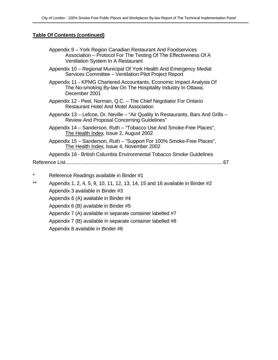#### **Table Of Contents (continued)**

| Appendix 9 – York Region Canadian Restaurant And Foodservices    |
|------------------------------------------------------------------|
| Association – Protocol For The Testing Of The Effectiveness Of A |
| Ventilation System In A Restaurant                               |

Appendix 10 – Regional Municipal Of York Health And Emergency Medial Services Committee – Ventilation Pilot Project Report

Appendix 11 - KPMG Chartered Accountants, Economic Impact Analysis Of The No-smoking By-law On The Hospitality Industry In Ottawa, December 2001

- Appendix 12 Peel, Norman, Q.C. The Chief Negotiator For Ontario Restaurant Hotel And Motel Association
- Appendix 13 Lefcoe, Dr. Neville "Air Quality In Restaurants, Bars And Grills Review And Proposal Concerning Guidelines"
- Appendix 14 Sanderson, Ruth "Tobacco Use And Smoke-Free Places", The Health Index, Issue 2, August 2002
- Appendix 15 Sanderson, Ruth "Support For 100% Smoke-Free Places", The Health Index, Issue 4, November 2002

Appendix 16 - British Columbia Environmental Tobacco Smoke Guidelines Reference List....................................................................................................................67

- Reference Readings available in Binder #1
- \*\* Appendix 1, 2, 4, 5, 9, 10, 11, 12, 13, 14, 15 and 16 available in Binder  $#2$ Appendix 3 available in Binder #3 Appendix 6 (A) available in Binder #4 Appendix 6 (B) available in Binder #5 Appendix 7 (A) available in separate container labelled #7 Appendix 7 (B) available in separate container labelled #8 Appendix 8 available in Binder #6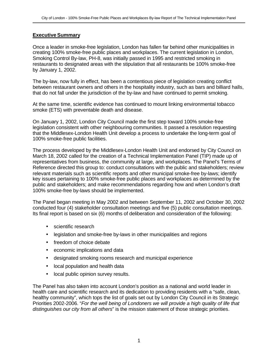#### **Executive Summary**

Once a leader in smoke-free legislation, London has fallen far behind other municipalities in creating 100% smoke-free public places and workplaces. The current legislation in London, Smoking Control By-law, PH-8, was initially passed in 1995 and restricted smoking in restaurants to designated areas with the stipulation that all restaurants be 100% smoke-free by January 1, 2002.

The by-law, now fully in effect, has been a contentious piece of legislation creating conflict between restaurant owners and others in the hospitality industry, such as bars and billiard halls, that do not fall under the jurisdiction of the by-law and have continued to permit smoking.

At the same time, scientific evidence has continued to mount linking environmental tobacco smoke (ETS) with preventable death and disease.

On January 1, 2002, London City Council made the first step toward 100% smoke-free legislation consistent with other neighbouring communities. It passed a resolution requesting that the Middlesex-London Health Unit develop a process to undertake the long-term goal of 100% smoke-free public facilities.

The process developed by the Middlesex-London Health Unit and endorsed by City Council on March 18, 2002 called for the creation of a Technical Implementation Panel (TIP) made up of representatives from business, the community at large, and workplaces. The Panel's Terms of Reference directed this group to: conduct consultations with the public and stakeholders; review relevant materials such as scientific reports and other municipal smoke-free by-laws; identify key issues pertaining to 100% smoke-free public places and workplaces as determined by the public and stakeholders; and make recommendations regarding how and when London's draft 100% smoke-free by-laws should be implemented.

The Panel began meeting in May 2002 and between September 11, 2002 and October 30, 2002 conducted four (4) stakeholder consultation meetings and five (5) public consultation meetings. Its final report is based on six (6) months of deliberation and consideration of the following:

- scientific research
- legislation and smoke-free by-laws in other municipalities and regions
- freedom of choice debate
- economic implications and data
- designated smoking rooms research and municipal experience
- local population and health data
- local public opinion survey results.

The Panel has also taken into account London's position as a national and world leader in health care and scientific research and its dedication to providing residents with a "safe, clean, healthy community", which tops the list of goals set out by London City Council in its Strategic Priorities 2002-2006. "*For the well being of Londoners we will provide a high quality of life that distinguishes our city from all others*" is the mission statement of those strategic priorities*.*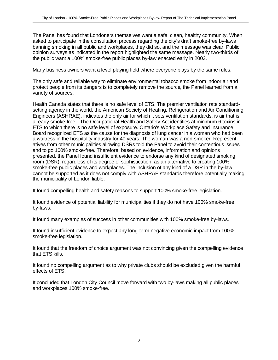The Panel has found that Londoners themselves want a safe, clean, healthy community. When asked to participate in the consultation process regarding the city's draft smoke-free by-laws banning smoking in all public and workplaces, they did so, and the message was clear. Public opinion surveys as indicated in the report highlighted the same message. Nearly two-thirds of the public want a 100% smoke-free public places by-law enacted early in 2003.

Many business owners want a level playing field where everyone plays by the same rules.

The only safe and reliable way to eliminate environmental tobacco smoke from indoor air and protect people from its dangers is to completely remove the source, the Panel learned from a variety of sources.

Health Canada states that there is no safe level of ETS. The premier ventilation rate standardsetting agency in the world, the American Society of Heating, Refrigeration and Air Conditioning Engineers (ASHRAE), indicates the only air for which it sets ventilation standards, is air that is already smoke-free.<sup>1</sup> The Occupational Health and Safety Act identifies at minimum 6 toxins in ETS to which there is no safe level of exposure. Ontario's Workplace Safety and Insurance Board recognized ETS as the cause for the diagnosis of lung cancer in a woman who had been a waitress in the hospitality industry for 40 years. The woman was a non-smoker. Representatives from other municipalities allowing DSRs told the Panel to avoid their contentious issues and to go 100% smoke-free. Therefore, based on evidence, information and opinions presented, the Panel found insufficient evidence to endorse any kind of designated smoking room (DSR), regardless of its degree of sophistication, as an alternative to creating 100% smoke-free public places and workplaces. The inclusion of any kind of a DSR in the by-law cannot be supported as it does not comply with ASHRAE standards therefore potentially making the municipality of London liable.

It found compelling health and safety reasons to support 100% smoke-free legislation.

It found evidence of potential liability for municipalities if they do not have 100% smoke-free by-laws.

It found many examples of success in other communities with 100% smoke-free by-laws.

It found insufficient evidence to expect any long-term negative economic impact from 100% smoke-free legislation.

It found that the freedom of choice argument was not convincing given the compelling evidence that ETS kills.

It found no compelling argument as to why private clubs should be excluded given the harmful effects of ETS.

It concluded that London City Council move forward with two by-laws making all public places and workplaces 100% smoke-free.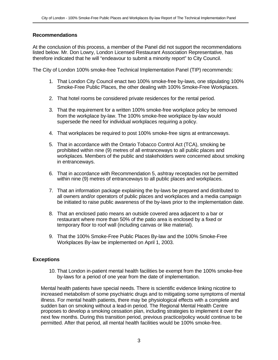#### **Recommendations**

At the conclusion of this process, a member of the Panel did not support the recommendations listed below. Mr. Don Lowry, London Licensed Restaurant Association Representative, has therefore indicated that he will "endeavour to submit a minority report" to City Council.

The City of London 100% smoke-free Technical Implementation Panel (TIP) recommends:

- 1. That London City Council enact two 100% smoke-free by-laws, one stipulating 100% Smoke-Free Public Places, the other dealing with 100% Smoke-Free Workplaces.
- 2. That hotel rooms be considered private residences for the rental period.
- 3. That the requirement for a written 100% smoke-free workplace policy be removed from the workplace by-law. The 100% smoke-free workplace by-law would supersede the need for individual workplaces requiring a policy.
- 4. That workplaces be required to post 100% smoke-free signs at entranceways.
- 5. That in accordance with the Ontario Tobacco Control Act (TCA), smoking be prohibited within nine (9) metres of all entranceways to all public places and workplaces. Members of the public and stakeholders were concerned about smoking in entranceways.
- 6. That in accordance with Recommendation 5, ashtray receptacles not be permitted within nine (9) metres of entranceways to all public places and workplaces.
- 7. That an information package explaining the by-laws be prepared and distributed to all owners and/or operators of public places and workplaces and a media campaign be initiated to raise public awareness of the by-laws prior to the implementation date.
- 8. That an enclosed patio means an outside covered area adjacent to a bar or restaurant where more than 50% of the patio area is enclosed by a fixed or temporary floor to roof wall (including canvas or like material).
- 9. That the 100% Smoke-Free Public Places By-law and the 100% Smoke-Free Workplaces By-law be implemented on April 1, 2003.

#### **Exceptions**

10. That London in-patient mental health facilities be exempt from the 100% smoke-free by-laws for a period of one year from the date of implementation.

Mental health patients have special needs. There is scientific evidence linking nicotine to increased metabolism of some psychiatric drugs and to mitigating some symptoms of mental illness. For mental health patients, there may be physiological effects with a complete and sudden ban on smoking without a lead-in period. The Regional Mental Health Centre proposes to develop a smoking cessation plan, including strategies to implement it over the next few months. During this transition period, previous practice/policy would continue to be permitted. After that period, all mental health facilities would be 100% smoke-free.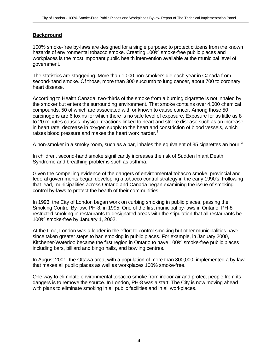## **Background**

100% smoke-free by-laws are designed for a single purpose: to protect citizens from the known hazards of environmental tobacco smoke. Creating 100% smoke-free public places and workplaces is the most important public health intervention available at the municipal level of government.

The statistics are staggering. More than 1,000 non-smokers die each year in Canada from second-hand smoke. Of those, more than 300 succumb to lung cancer, about 700 to coronary heart disease.

According to Health Canada, two-thirds of the smoke from a burning cigarette is not inhaled by the smoker but enters the surrounding environment. That smoke contains over 4,000 chemical compounds, 50 of which are associated with or known to cause cancer. Among those 50 carcinogens are 6 toxins for which there is no safe level of exposure. Exposure for as little as 8 to 20 minutes causes physical reactions linked to heart and stroke disease such as an increase in heart rate, decrease in oxygen supply to the heart and constriction of blood vessels, which raises blood pressure and makes the heart work harder.<sup>2</sup>

A non-smoker in a smoky room, such as a bar, inhales the equivalent of 35 cigarettes an hour.<sup>3</sup>

In children, second-hand smoke significantly increases the risk of Sudden Infant Death Syndrome and breathing problems such as asthma.

Given the compelling evidence of the dangers of environmental tobacco smoke, provincial and federal governments began developing a tobacco control strategy in the early 1990's. Following that lead, municipalities across Ontario and Canada began examining the issue of smoking control by-laws to protect the health of their communities.

In 1993, the City of London began work on curbing smoking in public places, passing the Smoking Control By-law, PH-8, in 1995. One of the first municipal by-laws in Ontario, PH-8 restricted smoking in restaurants to designated areas with the stipulation that all restaurants be 100% smoke-free by January 1, 2002.

At the time, London was a leader in the effort to control smoking but other municipalities have since taken greater steps to ban smoking in public places. For example, in January 2000, Kitchener-Waterloo became the first region in Ontario to have 100% smoke-free public places including bars, billiard and bingo halls, and bowling centres.

In August 2001, the Ottawa area, with a population of more than 800,000, implemented a by-law that makes all public places as well as workplaces 100% smoke-free.

One way to eliminate environmental tobacco smoke from indoor air and protect people from its dangers is to remove the source. In London, PH-8 was a start. The City is now moving ahead with plans to eliminate smoking in all public facilities and in all workplaces.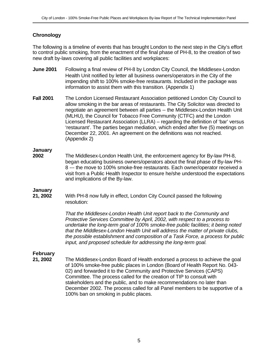## **Chronology**

The following is a timeline of events that has brought London to the next step in the City's effort to control public smoking, from the enactment of the final phase of PH-8, to the creation of two new draft by-laws covering all public facilities and workplaces:

- **June 2001** Following a final review of PH-8 by London City Council, the Middlesex-London Health Unit notified by letter all business owners/operators in the City of the impending shift to 100% smoke-free restaurants. Included in the package was information to assist them with this transition. (Appendix 1)
- **Fall 2001** The London Licensed Restaurant Association petitioned London City Council to allow smoking in the bar areas of restaurants. The City Solicitor was directed to negotiate an agreement between all parties -- the Middlesex-London Health Unit (MLHU), the Council for Tobacco Free Community (CTFC) and the London Licensed Restaurant Association (LLRA) – regarding the definition of 'bar' versus 'restaurant'. The parties began mediation, which ended after five (5) meetings on December 22, 2001. An agreement on the definitions was not reached. (Appendix 2)

#### **January**

**2002** The Middlesex-London Health Unit, the enforcement agency for By-law PH-8, began educating business owners/operators about the final phase of By-law PH-8 --- the move to 100% smoke-free restaurants. Each owner/operator received a visit from a Public Health Inspector to ensure he/she understood the expectations and implications of the By-law.

## **January**

**21, 2002** With PH-8 now fully in effect, London City Council passed the following resolution:

> *That the Middlesex-London Health Unit report back to the Community and Protective Services Committee by April, 2002, with respect to a process to undertake the long-term goal of 100% smoke-free public facilities; it being noted that the Middlesex-London Health Unit will address the matter of private clubs, the possible establishment and composition of a Task Force, a process for public input, and proposed schedule for addressing the long-term goal.*

## **February**

**21, 2002** The Middlesex-London Board of Health endorsed a process to achieve the goal of 100% smoke-free public places in London (Board of Health Report No. 043- 02) and forwarded it to the Community and Protective Services (CAPS) Committee. The process called for the creation of TIP to consult with stakeholders and the public, and to make recommendations no later than December 2002. The process called for all Panel members to be supportive of a 100% ban on smoking in public places.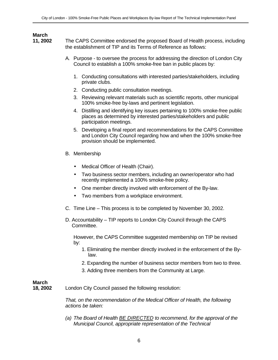## **March**

**11, 2002** The CAPS Committee endorsed the proposed Board of Health process, including the establishment of TIP and its Terms of Reference as follows:

- A. Purpose to oversee the process for addressing the direction of London City Council to establish a 100% smoke-free ban in public places by:
	- 1. Conducting consultations with interested parties/stakeholders, including private clubs.
	- 2. Conducting public consultation meetings.
	- 3. Reviewing relevant materials such as scientific reports, other municipal 100% smoke-free by-laws and pertinent legislation.
	- 4. Distilling and identifying key issues pertaining to 100% smoke-free public places as determined by interested parties/stakeholders and public participation meetings.
	- 5. Developing a final report and recommendations for the CAPS Committee and London City Council regarding how and when the 100% smoke-free provision should be implemented.
- B. Membership
	- Medical Officer of Health (Chair).
	- Two business sector members, including an owner/operator who had recently implemented a 100% smoke-free policy.
	- One member directly involved with enforcement of the By-law.
	- Two members from a workplace environment.
- C. Time Line This process is to be completed by November 30, 2002.
- D. Accountability TIP reports to London City Council through the CAPS Committee.

However, the CAPS Committee suggested membership on TIP be revised by:

- 1. Eliminating the member directly involved in the enforcement of the Bylaw.
- 2. Expanding the number of business sector members from two to three.
- 3. Adding three members from the Community at Large.

## **March**<br>**18.2002**

London City Council passed the following resolution:

*That, on the recommendation of the Medical Officer of Health, the following actions be taken:*

*(a) The Board of Health BE DIRECTED to recommend, for the approval of the Municipal Council, appropriate representation of the Technical*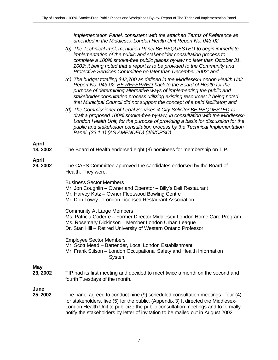*Implementation Panel, consistent with the attached Terms of Reference as amended in the Middlesex-London Health Unit Report No. 043-02;*

|                          | (b) The Technical Implementation Panel <b>BE REQUESTED</b> to begin immediate<br>implementation of the public and stakeholder consultation process to<br>complete a 100% smoke-free public places by-law no later than October 31,<br>2002; it being noted that a report is to be provided to the Community and<br>Protective Services Committee no later than December 2002; and                  |
|--------------------------|----------------------------------------------------------------------------------------------------------------------------------------------------------------------------------------------------------------------------------------------------------------------------------------------------------------------------------------------------------------------------------------------------|
|                          | (c) The budget totalling \$42,700 as defined in the Middlesex-London Health Unit<br>Report No. 043-02, BE REFERRED back to the Board of Health for the<br>purpose of determining alternative ways of implementing the public and<br>stakeholder consultation process utilizing existing resources; it being noted<br>that Municipal Council did not support the concept of a paid facilitator; and |
|                          | (d) The Commissioner of Legal Services & City Solicitor <b>BE REQUESTED</b> to<br>draft a proposed 100% smoke-free by-law, in consultation with the Middlesex-<br>London Health Unit, for the purpose of providing a basis for discussion for the<br>public and stakeholder consultation process by the Technical Implementation<br>Panel. (33.1.1) (AS AMENDED) (4/6/CPSC)                        |
| <b>April</b><br>18, 2002 | The Board of Health endorsed eight (8) nominees for membership on TIP.                                                                                                                                                                                                                                                                                                                             |
| April<br>29, 2002        | The CAPS Committee approved the candidates endorsed by the Board of<br>Health. They were:                                                                                                                                                                                                                                                                                                          |
|                          | <b>Business Sector Members</b><br>Mr. Jon Coughlin - Owner and Operator - Billy's Deli Restaurant<br>Mr. Harvey Katz - Owner Fleetwood Bowling Centre<br>Mr. Don Lowry - London Licensed Restaurant Association                                                                                                                                                                                    |
|                          | <b>Community At Large Members</b><br>Ms. Patricia Coderre – Former Director Middlesex-London Home Care Program<br>Ms. Rosemary Dickinson - Member London Urban League<br>Dr. Stan Hill - Retired University of Western Ontario Professor                                                                                                                                                           |
|                          | <b>Employee Sector Members</b><br>Mr. Scott Mead - Bartender, Local London Establishment<br>Mr. Frank Stilson – London Occupational Safety and Health Information<br>System                                                                                                                                                                                                                        |
| <b>May</b><br>23, 2002   | TIP had its first meeting and decided to meet twice a month on the second and<br>fourth Tuesdays of the month.                                                                                                                                                                                                                                                                                     |
| June<br>25, 2002         | The panel agreed to conduct nine (9) scheduled consultation meetings - four (4)<br>for stakeholders, five (5) for the public. (Appendix 3) It directed the Middlesex-<br>London Health Unit to publicize the public consultation meetings and to formally<br>notify the stakeholders by letter of invitation to be mailed out in August 2002.                                                      |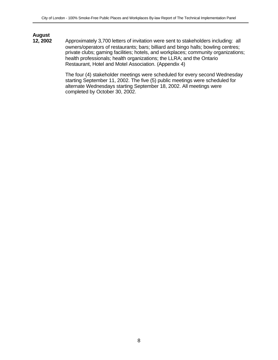# **August**

**12, 2002** Approximately 3,700 letters of invitation were sent to stakeholders including: all owners/operators of restaurants; bars; billiard and bingo halls; bowling centres; private clubs; gaming facilities; hotels, and workplaces; community organizations; health professionals; health organizations; the LLRA; and the Ontario Restaurant, Hotel and Motel Association. (Appendix 4)

> The four (4) stakeholder meetings were scheduled for every second Wednesday starting September 11, 2002. The five (5) public meetings were scheduled for alternate Wednesdays starting September 18, 2002. All meetings were completed by October 30, 2002.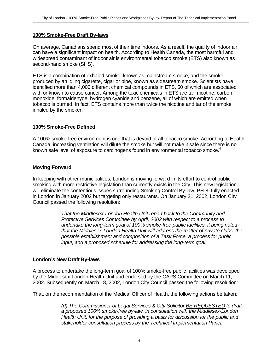#### **100% Smoke-Free Draft By-laws**

On average, Canadians spend most of their time indoors. As a result, the quality of indoor air can have a significant impact on health. According to Health Canada, the most harmful and widespread contaminant of indoor air is environmental tobacco smoke (ETS) also known as second-hand smoke (SHS).

ETS is a combination of exhaled smoke, known as mainstream smoke, and the smoke produced by an idling cigarette, cigar or pipe, known as sidestream smoke. Scientists have identified more than 4,000 different chemical compounds in ETS, 50 of which are associated with or known to cause cancer. Among the toxic chemicals in ETS are tar, nicotine, carbon monoxide, formaldehyde, hydrogen cyanide and benzene, all of which are emitted when tobacco is burned. In fact, ETS contains more than twice the nicotine and tar of the smoke inhaled by the smoker.

#### **100% Smoke-Free Defined**

A 100% smoke-free environment is one that is devoid of all tobacco smoke. According to Health Canada, increasing ventilation will dilute the smoke but will not make it safe since there is no known safe level of exposure to carcinogens found in environmental tobacco smoke.<sup>4</sup>

#### **Moving Forward**

In keeping with other municipalities, London is moving forward in its effort to control public smoking with more restrictive legislation than currently exists in the City. This new legislation will eliminate the contentious issues surrounding Smoking Control By-law, PH-8, fully enacted in London in January 2002 but targeting only restaurants. On January 21, 2002, London City Council passed the following resolution:

> *That the Middlesex-London Health Unit report back to the Community and Protective Services Committee by April, 2002 with respect to a process to undertake the long-term goal of 100% smoke-free public facilities; it being noted that the Middlesex-London Health Unit will address the matter of private clubs, the possible establishment and composition of a Task Force, a process for public input, and a proposed schedule for addressing the long-term goal.*

#### **London's New Draft By-laws**

A process to undertake the long-term goal of 100% smoke-free public facilities was developed by the Middlesex-London Health Unit and endorsed by the CAPS Committee on March 11, 2002. Subsequently on March 18, 2002, London City Council passed the following resolution:

That, on the recommendation of the Medical Officer of Health, the following actions be taken*:*

*(d) The Commissioner of Legal Services & City Solicitor BE REQUESTED to draft a proposed 100% smoke-free by-law, in consultation with the Middlesex-London Health Unit, for the purpose of providing a basis for discussion for the public and stakeholder consultation process by the Technical Implementation Panel.*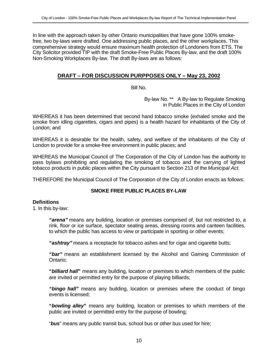In line with the approach taken by other Ontario municipalities that have gone 100% smokefree, two by-laws were drafted. One addressing public places, and the other workplaces. This comprehensive strategy would ensure maximum health protection of Londoners from ETS. The City Solicitor provided TIP with the draft Smoke-Free Public Places By-law, and the draft 100% Non-Smoking Workplaces By-law. The draft By-laws are as follows:

## **DRAFT – FOR DISCUSSION PURPPOSES ONLY – May 23, 2002**

Bill No.

By-law No. \*\* A By-law to Regulate Smoking in Public Places in the City of London

WHEREAS it has been determined that second hand tobacco smoke (exhaled smoke and the smoke from idling cigarettes, cigars and pipes) is a health hazard for inhabitants of the City of London; and

WHEREAS it is desirable for the health, safety, and welfare of the inhabitants of the City of London to provide for a smoke-free environment in public places; and

WHEREAS the Municipal Council of The Corporation of the City of London has the authority to pass bylaws prohibiting and regulating the smoking of tobacco and the carrying of lighted tobacco products in public places within the City pursuant to Section 213 of the *Municipal Act*.

THEREFORE the Municipal Council of The Corporation of the City of London enacts as follows:

## **SMOKE FREE PUBLIC PLACES BY-LAW**

#### **Definitions**

1. In this by-law:

*"arena"* means any building, location or premises comprised of, but not restricted to, a rink, floor or ice surface, spectator seating areas, dressing rooms and canteen facilities, to which the public has access to view or participate in sporting or other events;

*"ashtray"* means a receptacle for tobacco ashes and for cigar and cigarette butts;

*"bar"* means an establishment licensed by the Alcohol and Gaming Commission of Ontario;

**"***billiard hall***"** means any building, location or premises to which members of the public are invited or permitted entry for the purpose of playing billiards;

*"bingo hall"* means any building, location or premises where the conduct of bingo events is licensed;

**"***bowling alley***"** means any building, location or premises to which members of the public are invited or permitted entry for the purpose of bowling;

"*bus*" means any public transit bus, school bus or other bus used for hire;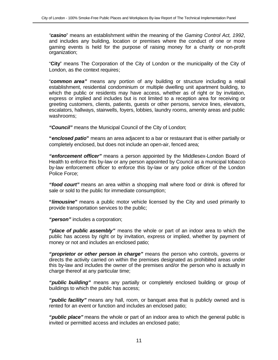*"casino*" means an establishment within the meaning of the *Gaming Control Act, 1992*, and includes any building, location or premises where the conduct of one or more gaming events is held for the purpose of raising money for a charity or non-profit organization;

"**City**" means The Corporation of the City of London or the municipality of the City of London, as the context requires;

"*common area"* means any portion of any building or structure including a retail establishment, residential condominium or multiple dwelling unit apartment building, to which the public or residents may have access, whether as of right or by invitation, express or implied and includes but is not limited to a reception area for receiving or greeting customers, clients, patients, guests or other persons, service lines, elevators, escalators, hallways, stairwells, foyers, lobbies, laundry rooms, amenity areas and public washrooms;

*"Council"* means the Municipal Council of the City of London;

**"***enclosed patio***"** means an area adjacent to a bar or restaurant that is either partially or completely enclosed, but does not include an open-air, fenced area;

*"enforcement officer"* means a person appointed by the Middlesex-London Board of Health to enforce this by-law or any person appointed by Council as a municipal tobacco by-law enforcement officer to enforce this by-law or any police officer of the London Police Force;

*"food court"* means an area within a shopping mall where food or drink is offered for sale or sold to the public for immediate consumption;

**"***limousine***"** means a public motor vehicle licensed by the City and used primarily to provide transportation services to the public;

*"person"* includes a corporation;

*"place of public assembly"* means the whole or part of an indoor area to which the public has access by right or by invitation, express or implied, whether by payment of money or not and includes an enclosed patio;

*"proprietor or other person in charge"* means the person who controls, governs or directs the activity carried on within the premises designated as prohibited areas under this by-law and includes the owner of the premises and/or the person who is actually in charge thereof at any particular time;

*"public building"* means any partially or completely enclosed building or group of buildings to which the public has access;

*"public facility"* means any hall, room, or banquet area that is publicly owned and is rented for an event or function and includes an enclosed patio;

*"public place"* means the whole or part of an indoor area to which the general public is invited or permitted access and includes an enclosed patio;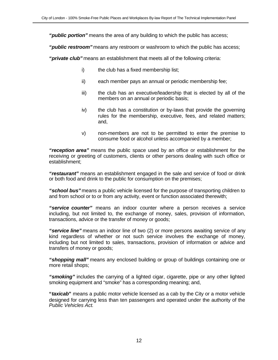*"public portion"* means the area of any building to which the public has access;

*"public restroom"* means any restroom or washroom to which the public has access;

*"private club"* means an establishment that meets all of the following criteria:

- i) the club has a fixed membership list;
- ii) each member pays an annual or periodic membership fee;
- iii) the club has an executive/leadership that is elected by all of the members on an annual or periodic basis;
- iv) the club has a constitution or by-laws that provide the governing rules for the membership, executive, fees, and related matters; and,
- v) non-members are not to be permitted to enter the premise to consume food or alcohol unless accompanied by a member;

*"reception area"* means the public space used by an office or establishment for the receiving or greeting of customers, clients or other persons dealing with such office or establishment;

*"restaurant"* means an establishment engaged in the sale and service of food or drink or both food and drink to the public for consumption on the premises;

*"school bus"* means a public vehicle licensed for the purpose of transporting children to and from school or to or from any activity, event or function associated therewith;

*"service counter"* means an indoor counter where a person receives a service including, but not limited to, the exchange of money, sales, provision of information, transactions, advice or the transfer of money or goods;

*"service line"* means an indoor line of two (2) or more persons awaiting service of any kind regardless of whether or not such service involves the exchange of money, including but not limited to sales, transactions, provision of information or advice and transfers of money or goods;

*"shopping mall"* means any enclosed building or group of buildings containing one or more retail shops;

*"smoking"* includes the carrying of a lighted cigar, cigarette, pipe or any other lighted smoking equipment and "smoke" has a corresponding meaning; and,

**"***taxicab***"** means a public motor vehicle licensed as a cab by the City or a motor vehicle designed for carrying less than ten passengers and operated under the authority of the *Public Vehicles Act*.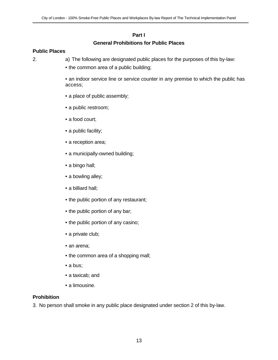## **Part I General Prohibitions for Public Places**

#### **Public Places**

2. a) The following are designated public places for the purposes of this by-law:

- the common area of a public building;
- an indoor service line or service counter in any premise to which the public has access;
- a place of public assembly;
- a public restroom;
- a food court;
- a public facility;
- a reception area;
- a municipally-owned building;
- a bingo hall;
- a bowling alley;
- a billiard hall;
- the public portion of any restaurant;
- the public portion of any bar;
- the public portion of any casino;
- a private club;
- an arena;
- the common area of a shopping mall;
- a bus;
- a taxicab; and
- a limousine.

#### **Prohibition**

3. No person shall smoke in any public place designated under section 2 of this by-law.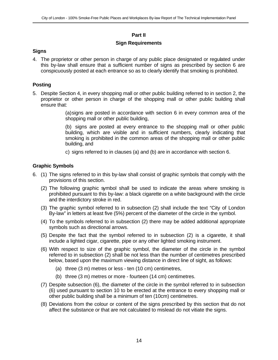## **Part II**

### **Sign Requirements**

#### **Signs**

4. The proprietor or other person in charge of any public place designated or regulated under this by-law shall ensure that a sufficient number of signs as prescribed by section 6 are conspicuously posted at each entrance so as to clearly identify that smoking is prohibited.

## **Posting**

5. Despite Section 4, in every shopping mall or other public building referred to in section 2, the proprietor or other person in charge of the shopping mall or other public building shall ensure that:

> (a)signs are posted in accordance with section 6 in every common area of the shopping mall or other public building,

> (b) signs are posted at every entrance to the shopping mall or other public building, which are visible and in sufficient numbers, clearly indicating that smoking is prohibited in the common areas of the shopping mall or other public building, and

c) signs referred to in clauses (a) and (b) are in accordance with section 6.

## **Graphic Symbols**

- 6. (1) The signs referred to in this by-law shall consist of graphic symbols that comply with the provisions of this section.
	- (2) The following graphic symbol shall be used to indicate the areas where smoking is prohibited pursuant to this by-law: a black cigarette on a white background with the circle and the interdictory stroke in red.
	- (3) The graphic symbol referred to in subsection (2) shall include the text "City of London By-law" in letters at least five (5%) percent of the diameter of the circle in the symbol.
	- (4) To the symbols referred to in subsection (2) there may be added additional appropriate symbols such as directional arrows.
	- (5) Despite the fact that the symbol referred to in subsection (2) is a cigarette, it shall include a lighted cigar, cigarette, pipe or any other lighted smoking instrument.
	- (6) With respect to size of the graphic symbol, the diameter of the circle in the symbol referred to in subsection (2) shall be not less than the number of centimetres prescribed below, based upon the maximum viewing distance in direct line of sight, as follows:
		- (a) three (3 m) metres or less ten (10 cm) centimetres,
		- (b) three (3 m) metres or more fourteen (14 cm) centimetres.
	- (7) Despite subsection (6), the diameter of the circle in the symbol referred to in subsection (6) used pursuant to section 10 to be erected at the entrance to every shopping mall or other public building shall be a minimum of ten (10cm) centimetres.
	- (8) Deviations from the colour or content of the signs prescribed by this section that do not affect the substance or that are not calculated to mislead do not vitiate the signs.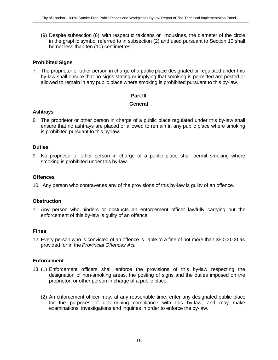(9) Despite subsection (6), with respect to taxicabs or limousines, the diameter of the circle in the graphic symbol referred to in subsection (2) and used pursuant to Section 10 shall be not less than ten (10) centimetres.

### **Prohibited Signs**

7. The proprietor or other person in charge of a public place designated or regulated under this by-law shall ensure that no signs stating or implying that smoking is permitted are posted or allowed to remain in any public place where smoking is prohibited pursuant to this by-law.

#### **Part III**

#### **General**

#### **Ashtrays**

8. The proprietor or other person in charge of a public place regulated under this by-law shall ensure that no ashtrays are placed or allowed to remain in any public place where smoking is prohibited pursuant to this by-law.

#### **Duties**

9. No proprietor or other person in charge of a public place shall permit smoking where smoking is prohibited under this by-law.

#### **Offences**

10. Any person who contravenes any of the provisions of this by-law is guilty of an offence.

#### **Obstruction**

11. Any person who hinders or obstructs an enforcement officer lawfully carrying out the enforcement of this by-law is guilty of an offence.

#### **Fines**

12. Every person who is convicted of an offence is liable to a fine of not more than \$5,000.00 as provided for in the *Provincial Offences Act*.

#### **Enforcement**

- 13. (1) Enforcement officers shall enforce the provisions of this by-law respecting the designation of non-smoking areas, the posting of signs and the duties imposed on the proprietor, or other person in charge of a public place.
	- (2) An enforcement officer may, at any reasonable time, enter any designated public place for the purposes of determining compliance with this by-law, and may make examinations, investigations and inquiries in order to enforce the by-law.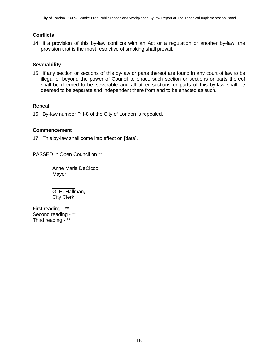## **Conflicts**

14. If a provision of this by-law conflicts with an Act or a regulation or another by-law, the provision that is the most restrictive of smoking shall prevail.

#### **Severability**

15. If any section or sections of this by-law or parts thereof are found in any court of law to be illegal or beyond the power of Council to enact, such section or sections or parts thereof shall be deemed to be severable and all other sections or parts of this by-law shall be deemed to be separate and independent there from and to be enacted as such.

#### **Repeal**

16. By-law number PH-8 of the City of London is repealed**.**

#### **Commencement**

17. This by-law shall come into effect on [date].

PASSED in Open Council on \*\*

Anne Marie DeCicco, Mayor

 G. H. Hallman, City Clerk

First reading - \*\* Second reading - \*\* Third reading - \*\*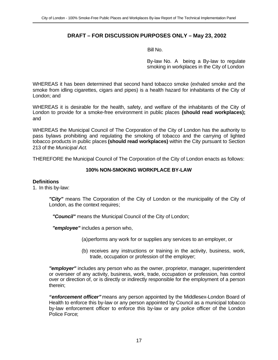## **DRAFT – FOR DISCUSSION PURPOSES ONLY – May 23, 2002**

Bill No.

By-law No. A being a By-law to regulate smoking in workplaces in the City of London

WHEREAS it has been determined that second hand tobacco smoke (exhaled smoke and the smoke from idling cigarettes, cigars and pipes) is a health hazard for inhabitants of the City of London; and

WHEREAS it is desirable for the health, safety, and welfare of the inhabitants of the City of London to provide for a smoke-free environment in public places **(should read workplaces);** and

WHEREAS the Municipal Council of The Corporation of the City of London has the authority to pass bylaws prohibiting and regulating the smoking of tobacco and the carrying of lighted tobacco products in public places **(should read workplaces)** within the City pursuant to Section 213 of the *Municipal Act*.

THEREFORE the Municipal Council of The Corporation of the City of London enacts as follows:

## **100% NON-SMOKING WORKPLACE BY-LAW**

#### **Definitions**

1. In this by-law:

*"City"* means The Corporation of the City of London or the municipality of the City of London, as the context requires;

*"Council"* means the Municipal Council of the City of London;

*"employee"* includes a person who,

(a)performs any work for or supplies any services to an employer, or

(b) receives any instructions or training in the activity, business, work, trade, occupation or profession of the employer;

*"employer"* includes any person who as the owner, proprietor, manager, superintendent or overseer of any activity, business, work, trade, occupation or profession, has control over or direction of, or is directly or indirectly responsible for the employment of a person therein;

*"enforcement officer"* means any person appointed by the Middlesex-London Board of Health to enforce this by-law or any person appointed by Council as a municipal tobacco by-law enforcement officer to enforce this by-law or any police officer of the London Police Force;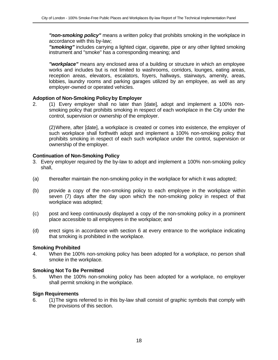*"non-smoking policy"* means a written policy that prohibits smoking in the workplace in accordance with this by-law;

*"smoking"* includes carrying a lighted cigar, cigarette, pipe or any other lighted smoking instrument and "smoke" has a corresponding meaning; and

*"workplace"* means any enclosed area of a building or structure in which an employee works and includes but is not limited to washrooms, corridors, lounges, eating areas, reception areas, elevators, escalators, foyers, hallways, stairways, amenity, areas, lobbies, laundry rooms and parking garages utilized by an employee, as well as any employer-owned or operated vehicles.

#### **Adoption of Non-Smoking Policyby Employer**

2. (1) Every employer shall no later than [date], adopt and implement a 100% nonsmoking policy that prohibits smoking in respect of each workplace in the City under the control, supervision or ownership of the employer.

(2)Where, after [date], a workplace is created or comes into existence, the employer of such workplace shall forthwith adopt and implement a 100% non-smoking policy that prohibits smoking in respect of each such workplace under the control, supervision or ownership of the employer.

#### **Continuation of Non-Smoking Policy**

- 3. Every employer required by the by-law to adopt and implement a 100% non-smoking policy shall,
- (a) thereafter maintain the non-smoking policy in the workplace for which it was adopted;
- (b) provide a copy of the non-smoking policy to each employee in the workplace within seven (7) days after the day upon which the non-smoking policy in respect of that workplace was adopted;
- (c) post and keep continuously displayed a copy of the non-smoking policy in a prominent place accessible to all employees in the workplace; and
- (d) erect signs in accordance with section 6 at every entrance to the workplace indicating that smoking is prohibited in the workplace.

#### **Smoking Prohibited**

4. When the 100% non-smoking policy has been adopted for a workplace, no person shall smoke in the workplace.

#### **Smoking Not To Be Permitted**

5. When the 100% non-smoking policy has been adopted for a workplace, no employer shall permit smoking in the workplace.

#### **Sign Requirements**

6. (1)The signs referred to in this by-law shall consist of graphic symbols that comply with the provisions of this section.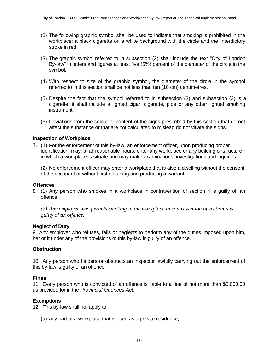- (2) The following graphic symbol shall be used to indicate that smoking is prohibited in the workplace: a black cigarette on a white background with the circle and the interdictory stroke in red.
- (3) The graphic symbol referred to in subsection (2) shall include the text "City of London By-law" in letters and figures at least five (5%) percent of the diameter of the circle in the symbol.
- (4) With respect to size of the graphic symbol, the diameter of the circle in the symbol referred to in this section shall be not less than ten (10 cm) centimetres.
- (5) Despite the fact that the symbol referred to in subsection (2) and subsection (3) is a cigarette, it shall include a lighted cigar, cigarette, pipe or any other lighted smoking instrument.
- (6) Deviations from the colour or content of the signs prescribed by this section that do not affect the substance or that are not calculated to mislead do not vitiate the signs.

#### **Inspection of Workplace**

7. (1) For the enforcement of this by-law, an enforcement officer, upon producing proper identification, may, at all reasonable hours, enter any workplace or any building or structure in which a workplace is situate and may make examinations, investigations and inquiries.

(2) No enforcement officer may enter a workplace that is also a dwelling without the consent of the occupant or without first obtaining and producing a warrant.

#### **Offences**

8. (1) Any person who smokes in a workplace in contravention of section 4 is guilty of an offence.

*(2) Any employer who permits smoking in the workplace in contravention of section 5 is guilty of an offence.*

#### **Neglect of Duty**

9. Any employer who refuses, fails or neglects to perform any of the duties imposed upon him, her or it under any of the provisions of this by-law is guilty of an offence.

#### **Obstruction**

10. Any person who hinders or obstructs an inspector lawfully carrying out the enforcement of this by-law is guilty of an offence.

#### **Fines**

11. Every person who is convicted of an offence is liable to a fine of not more than \$5,000.00 as provided for in the *Provincial Offences Act*.

#### **Exemptions**

12. This by-law shall not apply to:

(a) any part of a workplace that is used as a private residence;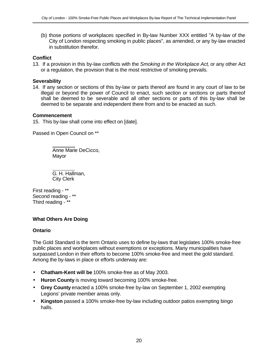(b) those portions of workplaces specified in By-law Number XXX entitled "A by-law of the City of London respecting smoking in public places", as amended, or any by-law enacted in substitution therefor.

## **Conflict**

13. If a provision in this by-law conflicts with the *Smoking in the Workplace Act*, or any other Act or a regulation, the provision that is the most restrictive of smoking prevails.

#### **Severability**

14. If any section or sections of this by-law or parts thereof are found in any court of law to be illegal or beyond the power of Council to enact, such section or sections or parts thereof shall be deemed to be severable and all other sections or parts of this by-law shall be deemed to be separate and independent there from and to be enacted as such.

#### **Commencement**

15. This by-law shall come into effect on [date].

Passed in Open Council on \*\*

Anne Marie DeCicco, Mayor

 G. H. Hallman, City Clerk

First reading - \*\* Second reading - \*\* Third reading - \*\*

#### **What Others Are Doing**

#### **Ontario**

The Gold Standard is the term Ontario uses to define by-laws that legislates 100% smoke-free public places and workplaces without exemptions or exceptions. Many municipalities have surpassed London in their efforts to become 100% smoke-free and meet the gold standard. Among the by-laws in place or efforts underway are:

- **Chatham-Kent will be** 100% smoke-free as of May 2003.
- **Huron County** is moving toward becoming 100% smoke-free.
- **Grey County** enacted a 100% smoke-free by-law on September 1, 2002 exempting Legions' private member areas only.
- **Kingston** passed a 100% smoke-free by-law including outdoor patios exempting bingo halls.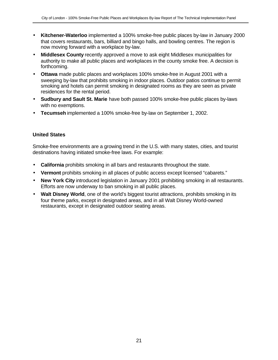- **Kitchener-Waterloo** implemented a 100% smoke-free public places by-law in January 2000 that covers restaurants, bars, billiard and bingo halls, and bowling centres. The region is now moving forward with a workplace by-law.
- **Middlesex County** recently approved a move to ask eight Middlesex municipalities for authority to make all public places and workplaces in the county smoke free. A decision is forthcoming.
- **Ottawa** made public places and workplaces 100% smoke-free in August 2001 with a sweeping by-law that prohibits smoking in indoor places. Outdoor patios continue to permit smoking and hotels can permit smoking in designated rooms as they are seen as private residences for the rental period.
- **Sudbury and Sault St. Marie** have both passed 100% smoke-free public places by-laws with no exemptions.
- **Tecumseh** implemented a 100% smoke-free by-law on September 1, 2002.

## **United States**

Smoke-free environments are a growing trend in the U.S. with many states, cities, and tourist destinations having initiated smoke-free laws. For example:

- **California** prohibits smoking in all bars and restaurants throughout the state.
- **Vermont** prohibits smoking in all places of public access except licensed "cabarets."
- **New York City** introduced legislation in January 2001 prohibiting smoking in all restaurants. Efforts are now underway to ban smoking in all public places.
- **Walt Disney World**, one of the world's biggest tourist attractions, prohibits smoking in its four theme parks, except in designated areas, and in all Walt Disney World-owned restaurants, except in designated outdoor seating areas.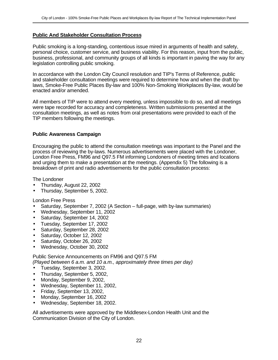#### **Public And Stakeholder Consultation Process**

Public smoking is a long-standing, contentious issue mired in arguments of health and safety, personal choice, customer service, and business viability. For this reason, input from the public, business, professional, and community groups of all kinds is important in paving the way for any legislation controlling public smoking.

In accordance with the London City Council resolution and TIP's Terms of Reference, public and stakeholder consultation meetings were required to determine how and when the draft bylaws, Smoke-Free Public Places By-law and 100% Non-Smoking Workplaces By-law, would be enacted and/or amended.

All members of TIP were to attend every meeting, unless impossible to do so, and all meetings were tape recorded for accuracy and completeness. Written submissions presented at the consultation meetings, as well as notes from oral presentations were provided to each of the TIP members following the meetings.

#### **Public Awareness Campaign**

Encouraging the public to attend the consultation meetings was important to the Panel and the process of reviewing the by-laws. Numerous advertisements were placed with the Londoner, London Free Press, FM96 and Q97.5 FM informing Londoners of meeting times and locations and urging them to make a presentation at the meetings. (Appendix 5) The following is a breakdown of print and radio advertisements for the public consultation process:

The Londoner

- Thursday, August 22, 2002
- Thursday, September 5, 2002.

London Free Press

- Saturday, September 7, 2002 (A Section full-page, with by-law summaries)
- Wednesday, September 11, 2002
- Saturday, September 14, 2002
- Tuesday, September 17, 2002
- Saturday, September 28, 2002
- Saturday, October 12, 2002
- Saturday, October 26, 2002
- Wednesday, October 30, 2002

Public Service Announcements on FM96 and Q97.5 FM

*(Played between 6 a.m. and 10 a.m., approximately three times per day)*

- Tuesday, September 3, 2002.
- Thursday, September 5, 2002,
- Monday, September 9, 2002,
- Wednesday, September 11, 2002,
- Friday, September 13, 2002,
- Monday, September 16, 2002
- Wednesday, September 18, 2002.

All advertisements were approved by the Middlesex-London Health Unit and the Communication Division of the City of London.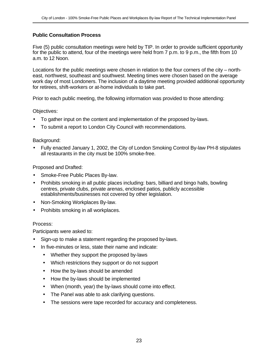## **Public Consultation Process**

Five (5) public consultation meetings were held by TIP. In order to provide sufficient opportunity for the public to attend, four of the meetings were held from 7 p.m. to 9 p.m., the fifth from 10 a.m. to 12 Noon.

Locations for the public meetings were chosen in relation to the four corners of the city – northeast, northwest, southeast and southwest. Meeting times were chosen based on the average work day of most Londoners. The inclusion of a daytime meeting provided additional opportunity for retirees, shift-workers or at-home individuals to take part.

Prior to each public meeting, the following information was provided to those attending:

#### Objectives:

- To gather input on the content and implementation of the proposed by-laws.
- To submit a report to London City Council with recommendations.

#### Background:

• Fully enacted January 1, 2002, the City of London Smoking Control By-law PH-8 stipulates all restaurants in the city must be 100% smoke-free.

#### Proposed and Drafted:

- Smoke-Free Public Places By-law.
- Prohibits smoking in all public places including: bars, billiard and bingo halls, bowling centres, private clubs, private arenas, enclosed patios, publicly accessible establishments/businesses not covered by other legislation.
- Non-Smoking Workplaces By-law.
- Prohibits smoking in all workplaces.

#### Process:

Participants were asked to:

- Sign-up to make a statement regarding the proposed by-laws.
- In five-minutes or less, state their name and indicate:
	- Whether they support the proposed by-laws
	- Which restrictions they support or do not support
	- How the by-laws should be amended
	- How the by-laws should be implemented
	- When (month, year) the by-laws should come into effect.
	- The Panel was able to ask clarifying questions.
	- The sessions were tape recorded for accuracy and completeness.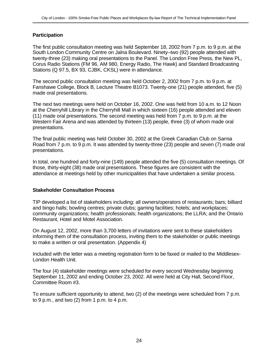## **Participation**

The first public consultation meeting was held September 18, 2002 from 7 p.m. to 9 p.m. at the South London Community Centre on Jalna Boulevard. Ninety–two (92) people attended with twenty-three (23) making oral presentations to the Panel. The London Free Press, the New PL, Corus Radio Stations (FM 96, AM 980, Energy Radio, The Hawk) and Standard Broadcasting Stations (Q 97.5, BX 93, CJBK, CKSL) were in attendance.

The second public consultation meeting was held October 2, 2002 from 7 p.m. to 9 p.m. at Fanshawe College, Block B, Lecture Theatre B1073. Twenty-one (21) people attended, five (5) made oral presentations.

The next two meetings were held on October 16, 2002. One was held from 10 a.m. to 12 Noon at the Cherryhill Library in the Cherryhill Mall in which sixteen (16) people attended and eleven (11) made oral presentations. The second meeting was held from 7 p.m. to 9 p.m. at the Western Fair Arena and was attended by thirteen (13) people, three (3) of whom made oral presentations.

The final public meeting was held October 30, 2002 at the Greek Canadian Club on Sarnia Road from 7 p.m. to 9 p.m. It was attended by twenty-three (23) people and seven (7) made oral presentations.

In total, one hundred and forty-nine (149) people attended the five (5) consultation meetings. Of those, thirty-eight (38) made oral presentations. These figures are consistent with the attendance at meetings held by other municipalities that have undertaken a similar process.

#### **Stakeholder Consultation Process**

TIP developed a list of stakeholders including: all owners/operators of restaurants; bars; billiard and bingo halls; bowling centres; private clubs; gaming facilities; hotels; and workplaces; community organizations; health professionals; health organizations; the LLRA; and the Ontario Restaurant, Hotel and Motel Association.

On August 12, 2002, more than 3,700 letters of invitations were sent to these stakeholders informing them of the consultation process, inviting them to the stakeholder or public meetings to make a written or oral presentation. (Appendix 4)

Included with the letter was a meeting registration form to be faxed or mailed to the Middlesex-London Health Unit.

The four (4) stakeholder meetings were scheduled for every second Wednesday beginning September 11, 2002 and ending October 23, 2002. All were held at City Hall, Second Floor, Committee Room #3.

To ensure sufficient opportunity to attend, two (2) of the meetings were scheduled from 7 p.m. to 9 p.m., and two  $(2)$  from 1 p.m. to 4 p.m.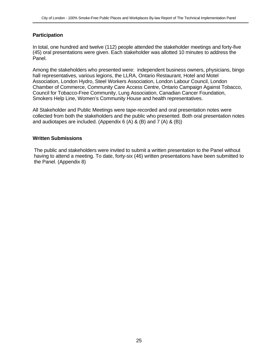## **Participation**

In total, one hundred and twelve (112) people attended the stakeholder meetings and forty-five (45) oral presentations were given. Each stakeholder was allotted 10 minutes to address the Panel.

Among the stakeholders who presented were: independent business owners, physicians, bingo hall representatives, various legions, the LLRA, Ontario Restaurant, Hotel and Motel Association, London Hydro, Steel Workers Association, London Labour Council, London Chamber of Commerce, Community Care Access Centre, Ontario Campaign Against Tobacco, Council for Tobacco-Free Community, Lung Association, Canadian Cancer Foundation, Smokers Help Line, Women's Community House and health representatives.

All Stakeholder and Public Meetings were tape-recorded and oral presentation notes were collected from both the stakeholders and the public who presented. Both oral presentation notes and audiotapes are included. (Appendix 6 (A) & (B) and 7 (A) & (B))

#### **Written Submissions**

The public and stakeholders were invited to submit a written presentation to the Panel without having to attend a meeting. To date, forty-six (46) written presentations have been submitted to the Panel. (Appendix 8)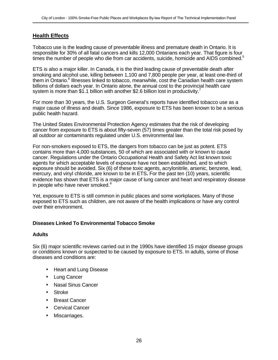## **Health Effects**

Tobacco use is the leading cause of preventable illness and premature death in Ontario. It is responsible for 30% of all fatal cancers and kills 12,000 Ontarians each year. That figure is four times the number of people who die from car accidents, suicide, homicide and AIDS combined.<sup>5</sup>

ETS is also a major killer. In Canada, it is the third leading cause of preventable death after smoking and alcohol use, killing between 1,100 and 7,800 people per year, at least one-third of them in Ontario.<sup>6</sup> Illnesses linked to tobacco, meanwhile, cost the Canadian health care system billions of dollars each year. In Ontario alone, the annual cost to the provincial health care system is more than \$1.1 billion with another \$2.6 billion lost in productivity.<sup>7</sup>

For more than 30 years, the U.S. Surgeon General's reports have identified tobacco use as a major cause of illness and death. Since 1986, exposure to ETS has been known to be a serious public health hazard.

The United States Environmental Protection Agency estimates that the risk of developing cancer from exposure to ETS is about fifty-seven (57) times greater than the total risk posed by all outdoor air contaminants regulated under U.S. environmental law.

For non-smokers exposed to ETS, the dangers from tobacco can be just as potent. ETS contains more than 4,000 substances, 50 of which are associated with or known to cause cancer. Regulations under the Ontario Occupational Health and Safety Act list known toxic agents for which acceptable levels of exposure have not been established, and to which exposure should be avoided. Six (6) of these toxic agents, acrylonitrile, arsenic, benzene, lead, mercury, and vinyl chloride, are known to be in ETS**.** For the past ten (10) years, scientific evidence has shown that ETS is a major cause of lung cancer and heart and respiratory disease in people who have never smoked.<sup>8</sup>

Yet, exposure to ETS is still common in public places and some workplaces. Many of those exposed to ETS such as children, are not aware of the health implications or have any control over their environment.

#### **Diseases Linked To Environmental Tobacco Smoke**

#### **Adults**

Six (6) major scientific reviews carried out in the 1990s have identified 15 major disease groups or conditions known or suspected to be caused by exposure to ETS. In adults, some of those diseases and conditions are:

- Heart and Lung Disease
- Lung Cancer
- Nasal Sinus Cancer
- **Stroke**
- **Breast Cancer**
- Cervical Cancer
- Miscarriages.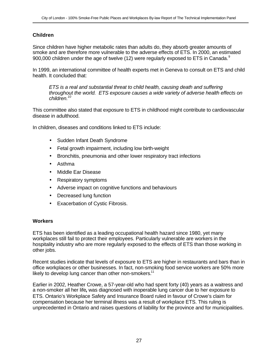## **Children**

Since children have higher metabolic rates than adults do, they absorb greater amounts of smoke and are therefore more vulnerable to the adverse effects of ETS. In 2000, an estimated 900,000 children under the age of twelve (12) were regularly exposed to ETS in Canada. $9$ 

In 1999, an international committee of health experts met in Geneva to consult on ETS and child health. It concluded that:

*ETS is a real and substantial threat to child health, causing death and suffering throughout the world. ETS exposure causes a wide variety of adverse health effects on children.<sup>10</sup>*

This committee also stated that exposure to ETS in childhood might contribute to cardiovascular disease in adulthood.

In children, diseases and conditions linked to ETS include:

- Sudden Infant Death Syndrome
- Fetal growth impairment, including low birth-weight
- Bronchitis, pneumonia and other lower respiratory tract infections
- Asthma
- Middle Ear Disease
- Respiratory symptoms
- Adverse impact on cognitive functions and behaviours
- Decreased lung function
- Exacerbation of Cystic Fibrosis.

#### **Workers**

ETS has been identified as a leading occupational health hazard since 1980, yet many workplaces still fail to protect their employees. Particularly vulnerable are workers in the hospitality industry who are more regularly exposed to the effects of ETS than those working in other jobs.

Recent studies indicate that levels of exposure to ETS are higher in restaurants and bars than in office workplaces or other businesses. In fact, non-smoking food service workers are 50% more likely to develop lung cancer than other non-smokers.<sup>11</sup>

Earlier in 2002, Heather Crowe, a 57-year-old who had spent forty (40) years as a waitress and a non-smoker all her life**,** was diagnosed with inoperable lung cancer due to her exposure to ETS. Ontario's Workplace Safety and Insurance Board ruled in favour of Crowe's claim for compensation because her terminal illness was a result of workplace ETS. This ruling is unprecedented in Ontario and raises questions of liability for the province and for municipalities.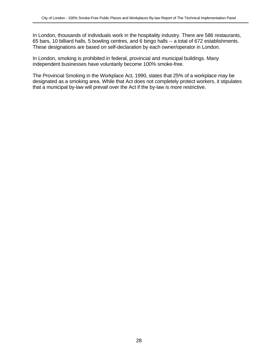In London, thousands of individuals work in the hospitality industry. There are 586 restaurants, 65 bars, 10 billiard halls, 5 bowling centres, and 6 bingo halls -- a total of 672 establishments. These designations are based on self-declaration by each owner/operator in London.

In London, smoking is prohibited in federal, provincial and municipal buildings. Many independent businesses have voluntarily become 100% smoke-free.

The Provincial Smoking in the Workplace Act, 1990, states that 25% of a workplace may be designated as a smoking area. While that Act does not completely protect workers, it stipulates that a municipal by-law will prevail over the Act if the by-law is more restrictive.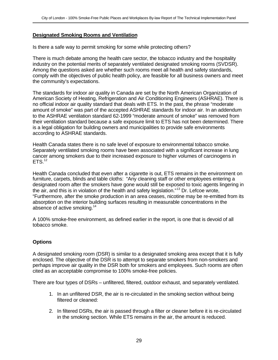## **Designated Smoking Rooms and Ventilation**

Is there a safe way to permit smoking for some while protecting others?

There is much debate among the health care sector, the tobacco industry and the hospitality industry on the potential merits of separately ventilated designated smoking rooms (SVDSR). Among the questions asked are whether such rooms meet all health and safety standards, comply with the objectives of public health policy, are feasible for all business owners and meet the community's expectations.

The standards for indoor air quality in Canada are set by the North American Organization of American Society of Heating, Refrigeration and Air Conditioning Engineers (ASHRAE). There is no official indoor air quality standard that deals with ETS. In the past, the phrase "moderate amount of smoke" was part of the accepted ASHRAE standards for indoor air. In an addendum to the ASHRAE ventilation standard 62-1999 "moderate amount of smoke" was removed from their ventilation standard because a safe exposure limit to ETS has not been determined. There is a legal obligation for building owners and municipalities to provide safe environments according to ASHRAE standards.

Health Canada states there is no safe level of exposure to environmental tobacco smoke. Separately ventilated smoking rooms have been associated with a significant increase in lung cancer among smokers due to their increased exposure to higher volumes of carcinogens in  $ETS.<sup>12</sup>$ 

Health Canada concluded that even after a cigarette is out, ETS remains in the environment on furniture, carpets, blinds and table cloths: "Any cleaning staff or other employees entering a designated room after the smokers have gone would still be exposed to toxic agents lingering in the air, and this is in violation of the health and safety legislation."<sup>13</sup> Dr. Lefcoe wrote, "Furthermore, after the smoke production in an area ceases, nicotine may be re-emitted from its absorption on the interior building surfaces resulting in measurable concentrations in the absence of active smoking.<sup>14</sup>

A 100% smoke-free environment, as defined earlier in the report, is one that is devoid of all tobacco smoke.

## **Options**

A designated smoking room (DSR) is similar to a designated smoking area except that it is fully enclosed. The objective of the DSR is to attempt to separate smokers from non-smokers and perhaps improve air quality in the DSR both for smokers and employees. Such rooms are often cited as an acceptable compromise to 100% smoke-free policies.

There are four types of DSRs – unfiltered, filtered, outdoor exhaust, and separately ventilated.

- 1. In an unfiltered DSR, the air is re-circulated in the smoking section without being filtered or cleaned:
- 2. In filtered DSRs, the air is passed through a filter or cleaner before it is re-circulated in the smoking section. While ETS remains in the air, the amount is reduced.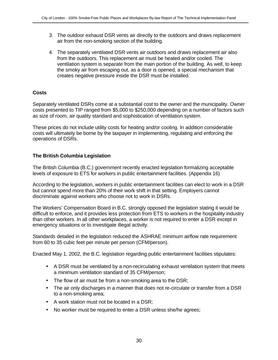- 3. The outdoor exhaust DSR vents air directly to the outdoors and draws replacement air from the non-smoking section of the building.
- 4. The separately ventilated DSR vents air outdoors and draws replacement air also from the outdoors. This replacement air must be heated and/or cooled. The ventilation system is separate from the main portion of the building. As well, to keep the smoky air from escaping out, as a door is opened, a special mechanism that creates negative pressure inside the DSR must be installed.

## **Costs**

Separately ventilated DSRs come at a substantial cost to the owner and the municipality. Owner costs presented to TIP ranged from \$5,000 to \$250,000 depending on a number of factors such as size of room, air quality standard and sophistication of ventilation system.

These prices do not include utility costs for heating and/or cooling. In addition considerable costs will ultimately be borne by the taxpayer in implementing, regulating and enforcing the operations of DSRs.

## **The British Columbia Legislation**

The British Columbia (B.C.) government recently enacted legislation formalizing acceptable levels of exposure to ETS for workers in public entertainment facilities. (Appendix 16)

According to the legislation, workers in public entertainment facilities can elect to work in a DSR but cannot spend more than 20% of their work shift in that setting. Employers cannot discriminate against workers who choose not to work in DSRs.

The Workers' Compensation Board in B.C. strongly opposed the legislation stating it would be difficult to enforce, and it provides less protection from ETS to workers in the hospitality industry than other workers. In all other workplaces, a worker is not required to enter a DSR except in emergency situations or to investigate illegal activity.

Standards detailed in the legislation reduced the ASHRAE minimum airflow rate requirement from 60 to 35 cubic feet per minute per person (CFM/person).

Enacted May 1, 2002, the B.C. legislation regarding public entertainment facilities stipulates:

- A DSR must be ventilated by a non-recirculating exhaust ventilation system that meets a minimum ventilation standard of 35 CFM/person;
- The flow of air must be from a non-smoking area to the DSR;
- The air only discharges in a manner that does not re-circulate or transfer from a DSR to a non-smoking area;
- A work station must not be located in a DSR;
- No worker must be required to enter a DSR unless she/he agrees;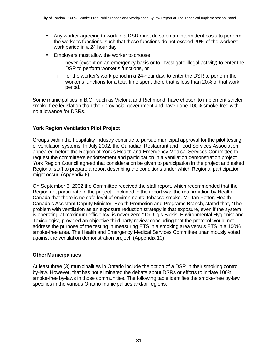- Any worker agreeing to work in a DSR must do so on an intermittent basis to perform the worker's functions, such that these functions do not exceed 20% of the workers' work period in a 24 hour day;
- Employers must allow the worker to choose;
	- i. never (except on an emergency basis or to investigate illegal activity) to enter the DSR to perform worker's functions, or
	- ii. for the worker's work period in a 24-hour day, to enter the DSR to perform the worker's functions for a total time spent there that is less than 20% of that work period.

Some municipalities in B.C., such as Victoria and Richmond, have chosen to implement stricter smoke-free legislation than their provincial government and have gone 100% smoke-free with no allowance for DSRs.

#### **York Region Ventilation Pilot Project**

Groups within the hospitality industry continue to pursue municipal approval for the pilot testing of ventilation systems. In July 2002, the Canadian Restaurant and Food Services Association appeared before the Region of York's Health and Emergency Medical Services Committee to request the committee's endorsement and participation in a ventilation demonstration project. York Region Council agreed that consideration be given to participation in the project and asked Regional staff to prepare a report describing the conditions under which Regional participation might occur. (Appendix 9)

On September 5, 2002 the Committee received the staff report, which recommended that the Region not participate in the project. Included in the report was the reaffirmation by Health Canada that there is no safe level of environmental tobacco smoke. Mr. Ian Potter, Health Canada's Assistant Deputy Minister, Health Promotion and Programs Branch, stated that, "The problem with ventilation as an exposure reduction strategy is that exposure, even if the system is operating at maximum efficiency, is never zero." Dr. Ugis Bickis, Environmental Hygienist and Toxicologist, provided an objective third party review concluding that the protocol would not address the purpose of the testing in measuring ETS in a smoking area versus ETS in a 100% smoke-free area. The Health and Emergency Medical Services Committee unanimously voted against the ventilation demonstration project. (Appendix 10)

#### **Other Municipalities**

At least three (3) municipalities in Ontario include the option of a DSR in their smoking control by-law. However, that has not eliminated the debate about DSRs or efforts to initiate 100% smoke-free by-laws in those communities. The following table identifies the smoke-free by-law specifics in the various Ontario municipalities and/or regions: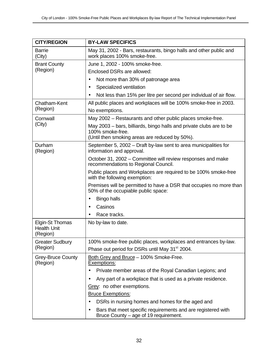| <b>CITY/REGION</b>                    | <b>BY-LAW SPECIFICS</b>                                                                                            |
|---------------------------------------|--------------------------------------------------------------------------------------------------------------------|
| <b>Barrie</b><br>(City)               | May 31, 2002 - Bars, restaurants, bingo halls and other public and<br>work places 100% smoke-free.                 |
| <b>Brant County</b>                   | June 1, 2002 - 100% smoke-free.                                                                                    |
| (Region)                              | Enclosed DSRs are allowed:                                                                                         |
|                                       | Not more than 30% of patronage area                                                                                |
|                                       | Specialized ventilation<br>$\bullet$                                                                               |
|                                       | Not less than 15% per litre per second per individual of air flow.                                                 |
| Chatham-Kent                          | All public places and workplaces will be 100% smoke-free in 2003.                                                  |
| (Region)                              | No exemptions.                                                                                                     |
| Cornwall                              | May 2002 – Restaurants and other public places smoke-free.                                                         |
| (City)                                | May 2003 – bars, billiards, bingo halls and private clubs are to be                                                |
|                                       | 100% smoke-free.<br>(Until then smoking areas are reduced by 50%).                                                 |
| Durham                                | September 5, 2002 – Draft by-law sent to area municipalities for                                                   |
| (Region)                              | information and approval.                                                                                          |
|                                       | October 31, 2002 – Committee will review responses and make<br>recommendations to Regional Council.                |
|                                       | Public places and Workplaces are required to be 100% smoke-free<br>with the following exemption:                   |
|                                       | Premises will be permitted to have a DSR that occupies no more than<br>50% of the occupiable public space:         |
|                                       | <b>Bingo halls</b>                                                                                                 |
|                                       | Casinos                                                                                                            |
|                                       | Race tracks.                                                                                                       |
| Elgin-St Thomas<br><b>Health Unit</b> | No by-law to date.                                                                                                 |
| (Region)                              |                                                                                                                    |
| <b>Greater Sudbury</b>                | 100% smoke-free public places, workplaces and entrances by-law.                                                    |
| (Region)                              | Phase out period for DSRs until May 31 <sup>st</sup> 2004.                                                         |
| <b>Grey-Bruce County</b><br>(Region)  | Both Grey and Bruce - 100% Smoke-Free.<br>Exemptions:                                                              |
|                                       | Private member areas of the Royal Canadian Legions; and                                                            |
|                                       | Any part of a workplace that is used as a private residence.                                                       |
|                                       | Grey: no other exemptions.                                                                                         |
|                                       | <b>Bruce Exemptions:</b>                                                                                           |
|                                       | DSRs in nursing homes and homes for the aged and<br>$\bullet$                                                      |
|                                       | Bars that meet specific requirements and are registered with<br>$\bullet$<br>Bruce County – age of 19 requirement. |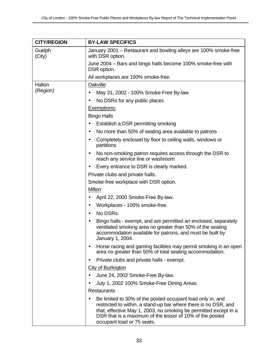| <b>CITY/REGION</b> | <b>BY-LAW SPECIFICS</b>                                                                                                                                                                                                                                                                     |  |
|--------------------|---------------------------------------------------------------------------------------------------------------------------------------------------------------------------------------------------------------------------------------------------------------------------------------------|--|
| Guelph<br>(City)   | January 2001 – Restaurant and bowling alleys are 100% smoke-free<br>with DSR option.                                                                                                                                                                                                        |  |
|                    | June 2004 – Bars and bingo halls become 100% smoke-free with<br>DSR option.                                                                                                                                                                                                                 |  |
|                    | All workplaces are 100% smoke-free.                                                                                                                                                                                                                                                         |  |
| Halton             | Oakville:                                                                                                                                                                                                                                                                                   |  |
| (Region)           | May 31, 2002 - 100% Smoke-Free By-law                                                                                                                                                                                                                                                       |  |
|                    | No DSRs for any public places<br>$\bullet$                                                                                                                                                                                                                                                  |  |
|                    | Exemptions:                                                                                                                                                                                                                                                                                 |  |
|                    | <b>Bingo Halls</b>                                                                                                                                                                                                                                                                          |  |
|                    | Establish a DSR permitting smoking<br>$\bullet$                                                                                                                                                                                                                                             |  |
|                    | No more than 50% of seating area available to patrons<br>$\bullet$                                                                                                                                                                                                                          |  |
|                    | Completely enclosed by floor to ceiling walls, windows or<br>partitions                                                                                                                                                                                                                     |  |
|                    | No non-smoking patron requires access through the DSR to<br>٠<br>reach any service line or washroom                                                                                                                                                                                         |  |
|                    | Every entrance to DSR is clearly marked.                                                                                                                                                                                                                                                    |  |
|                    | Private clubs and private halls.                                                                                                                                                                                                                                                            |  |
|                    | Smoke-free workplace with DSR option.                                                                                                                                                                                                                                                       |  |
|                    | Milton                                                                                                                                                                                                                                                                                      |  |
|                    | April 22, 2000 Smoke-Free By-law.<br>$\bullet$                                                                                                                                                                                                                                              |  |
|                    | Workplaces - 100% smoke-free.<br>$\bullet$                                                                                                                                                                                                                                                  |  |
|                    | No DSRs.<br>$\bullet$                                                                                                                                                                                                                                                                       |  |
|                    | Bingo halls - exempt, and are permitted an enclosed, separately<br>ventilated smoking area no greater than 50% of the seating<br>accommodation available for patrons, and must be built by<br>January 1, 2004.                                                                              |  |
|                    | Horse racing and gaming facilities may permit smoking in an open<br>area no greater than 50% of total seating accommodation.                                                                                                                                                                |  |
|                    | Private clubs and private halls - exempt.                                                                                                                                                                                                                                                   |  |
|                    | <b>City of Burlington</b>                                                                                                                                                                                                                                                                   |  |
|                    | June 24, 2002 Smoke-Free By-law.                                                                                                                                                                                                                                                            |  |
|                    | July 1, 2002 100% Smoke-Free Dining Areas.                                                                                                                                                                                                                                                  |  |
|                    | <b>Restaurants</b>                                                                                                                                                                                                                                                                          |  |
|                    | Be limited to 30% of the posted occupant load only in, and<br>restricted to within, a stand-up bar where there is no DSR, and<br>that, effective May 1, 2003, no smoking be permitted except in a<br>DSR that is a maximum of the lessor of 10% of the posted<br>occupant load or 75 seats. |  |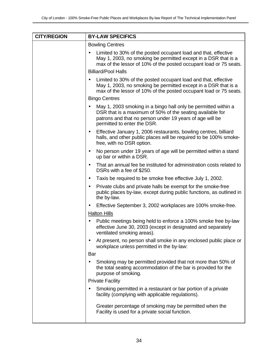| <b>CITY/REGION</b> | <b>BY-LAW SPECIFICS</b>                                                                                                                                                                                                             |
|--------------------|-------------------------------------------------------------------------------------------------------------------------------------------------------------------------------------------------------------------------------------|
|                    | <b>Bowling Centres</b>                                                                                                                                                                                                              |
|                    | Limited to 30% of the posted occupant load and that, effective<br>May 1, 2003, no smoking be permitted except in a DSR that is a<br>max of the lessor of 10% of the posted occupant load or 75 seats.                               |
|                    | <b>Billiard/Pool Halls</b>                                                                                                                                                                                                          |
|                    | Limited to 30% of the posted occupant load and that, effective<br>May 1, 2003, no smoking be permitted except in a DSR that is a<br>max of the lessor of 10% of the posted occupant load or 75 seats.                               |
|                    | <b>Bingo Centres</b>                                                                                                                                                                                                                |
|                    | May 1, 2003 smoking in a bingo hall only be permitted within a<br>$\bullet$<br>DSR that is a maximum of 50% of the seating available for<br>patrons and that no person under 19 years of age will be<br>permitted to enter the DSR. |
|                    | Effective January 1, 2006 restaurants, bowling centres, billiard<br>$\bullet$<br>halls, and other public places will be required to be 100% smoke-<br>free, with no DSR option.                                                     |
|                    | No person under 19 years of age will be permitted within a stand<br>$\bullet$<br>up bar or within a DSR.                                                                                                                            |
|                    | That an annual fee be instituted for administration costs related to<br>DSRs with a fee of \$250.                                                                                                                                   |
|                    | Taxis be required to be smoke free effective July 1, 2002.<br>$\bullet$                                                                                                                                                             |
|                    | Private clubs and private halls be exempt for the smoke-free<br>$\bullet$<br>public places by-law, except during public functions, as outlined in<br>the by-law.                                                                    |
|                    | Effective September 3, 2002 workplaces are 100% smoke-free.<br>$\bullet$                                                                                                                                                            |
|                    | <b>Halton Hills</b>                                                                                                                                                                                                                 |
|                    | Public meetings being held to enforce a 100% smoke free by-law<br>$\bullet$<br>effective June 30, 2003 (except in designated and separately<br>ventilated smoking areas).                                                           |
|                    | At present, no person shall smoke in any enclosed public place or<br>workplace unless permitted in the by-law:                                                                                                                      |
|                    | Bar                                                                                                                                                                                                                                 |
|                    | Smoking may be permitted provided that not more than 50% of<br>the total seating accommodation of the bar is provided for the<br>purpose of smoking.                                                                                |
|                    | <b>Private Facility</b>                                                                                                                                                                                                             |
|                    | Smoking permitted in a restaurant or bar portion of a private<br>facility (complying with applicable regulations).                                                                                                                  |
|                    | Greater percentage of smoking may be permitted when the<br>Facility is used for a private social function.                                                                                                                          |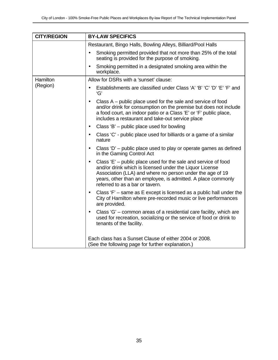| <b>CITY/REGION</b> | <b>BY-LAW SPECIFICS</b>                                                                                                                                                                                                                                                                                |  |
|--------------------|--------------------------------------------------------------------------------------------------------------------------------------------------------------------------------------------------------------------------------------------------------------------------------------------------------|--|
|                    | Restaurant, Bingo Halls, Bowling Alleys, Billiard/Pool Halls                                                                                                                                                                                                                                           |  |
|                    | Smoking permitted provided that not more than 25% of the total<br>seating is provided for the purpose of smoking.                                                                                                                                                                                      |  |
|                    | Smoking permitted in a designated smoking area within the<br>$\bullet$<br>workplace.                                                                                                                                                                                                                   |  |
| Hamilton           | Allow for DSRs with a 'sunset' clause:                                                                                                                                                                                                                                                                 |  |
| (Region)           | Establishments are classified under Class 'A' 'B' 'C' 'D' 'E' 'F' and<br>'G'                                                                                                                                                                                                                           |  |
|                    | Class A – public place used for the sale and service of food<br>$\bullet$<br>and/or drink for consumption on the premise but does not include<br>a food court, an indoor patio or a Class 'E' or 'F' public place,<br>includes a restaurant and take-out service place                                 |  |
|                    | Class 'B' – public place used for bowling<br>$\bullet$                                                                                                                                                                                                                                                 |  |
|                    | Class 'C' - public place used for billiards or a game of a similar<br>$\bullet$<br>nature                                                                                                                                                                                                              |  |
|                    | Class 'D' – public place used to play or operate games as defined<br>$\bullet$<br>in the Gaming Control Act                                                                                                                                                                                            |  |
|                    | Class 'E' – public place used for the sale and service of food<br>$\bullet$<br>and/or drink which is licensed under the Liquor License<br>Association (LLA) and where no person under the age of 19<br>years, other than an employee, is admitted. A place commonly<br>referred to as a bar or tavern. |  |
|                    | Class $F -$ same as E except is licensed as a public hall under the<br>$\bullet$<br>City of Hamilton where pre-recorded music or live performances<br>are provided.                                                                                                                                    |  |
|                    | Class 'G' - common areas of a residential care facility, which are<br>$\bullet$<br>used for recreation, socializing or the service of food or drink to<br>tenants of the facility.                                                                                                                     |  |
|                    | Each class has a Sunset Clause of either 2004 or 2008.<br>(See the following page for further explanation.)                                                                                                                                                                                            |  |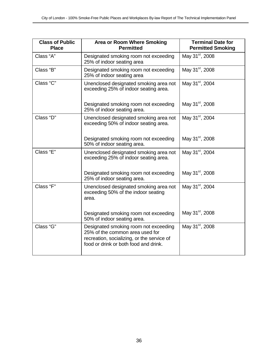| <b>Class of Public</b><br><b>Place</b> | Area or Room Where Smoking<br><b>Permitted</b>                                                                                                                  | <b>Terminal Date for</b><br><b>Permitted Smoking</b> |
|----------------------------------------|-----------------------------------------------------------------------------------------------------------------------------------------------------------------|------------------------------------------------------|
| Class "A"                              | Designated smoking room not exceeding<br>25% of indoor seating area                                                                                             | May 31 <sup>st</sup> , 2008                          |
| Class "B"                              | Designated smoking room not exceeding<br>25% of indoor seating area                                                                                             | May 31 <sup>st</sup> , 2008                          |
| Class "C"                              | Unenclosed designated smoking area not<br>exceeding 25% of indoor seating area.                                                                                 | May 31 <sup>st</sup> , 2004                          |
|                                        | Designated smoking room not exceeding<br>25% of indoor seating area.                                                                                            | May 31 <sup>st</sup> , 2008                          |
| Class "D"                              | Unenclosed designated smoking area not<br>exceeding 50% of indoor seating area.                                                                                 | May 31 <sup>st</sup> , 2004                          |
|                                        | Designated smoking room not exceeding<br>50% of indoor seating area.                                                                                            | May 31 <sup>st</sup> , 2008                          |
| Class "E"                              | Unenclosed designated smoking area not<br>exceeding 25% of indoor seating area.                                                                                 | May 31 <sup>st</sup> , 2004                          |
|                                        | Designated smoking room not exceeding<br>25% of indoor seating area.                                                                                            | May 31 <sup>st</sup> , 2008                          |
| Class "F"                              | Unenclosed designated smoking area not<br>exceeding 50% of the indoor seating<br>area.                                                                          | May 31 <sup>st</sup> , 2004                          |
|                                        | Designated smoking room not exceeding<br>50% of indoor seating area.                                                                                            | May 31 <sup>st</sup> , 2008                          |
| Class "G"                              | Designated smoking room not exceeding<br>25% of the common area used for<br>recreation, socializing, or the service of<br>food or drink or both food and drink. | May 31 <sup>st</sup> , 2008                          |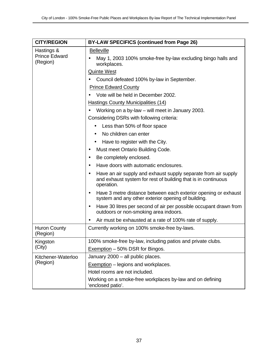| <b>CITY/REGION</b>                             | <b>BY-LAW SPECIFICS (continued from Page 26)</b>                                                                                                           |
|------------------------------------------------|------------------------------------------------------------------------------------------------------------------------------------------------------------|
| Hastings &<br><b>Prince Edward</b><br>(Region) | <b>Belleville</b>                                                                                                                                          |
|                                                | May 1, 2003 100% smoke-free by-law excluding bingo halls and<br>$\bullet$<br>workplaces.                                                                   |
|                                                | <b>Quinte West</b>                                                                                                                                         |
|                                                | Council defeated 100% by-law in September.                                                                                                                 |
|                                                | <b>Prince Edward County</b>                                                                                                                                |
|                                                | Vote will be held in December 2002.                                                                                                                        |
|                                                | <b>Hastings County Municipalities (14)</b>                                                                                                                 |
|                                                | Working on a by-law – will meet in January 2003.                                                                                                           |
|                                                | Considering DSRs with following criteria:                                                                                                                  |
|                                                | Less than 50% of floor space                                                                                                                               |
|                                                | No children can enter                                                                                                                                      |
|                                                | Have to register with the City.                                                                                                                            |
|                                                | Must meet Ontario Building Code.                                                                                                                           |
|                                                | Be completely enclosed.<br>$\bullet$                                                                                                                       |
|                                                | Have doors with automatic enclosures.<br>$\bullet$                                                                                                         |
|                                                | Have an air supply and exhaust supply separate from air supply<br>$\bullet$<br>and exhaust system for rest of building that is in continuous<br>operation. |
|                                                | Have 3 metre distance between each exterior opening or exhaust<br>system and any other exterior opening of building.                                       |
|                                                | Have 30 litres per second of air per possible occupant drawn from<br>٠<br>outdoors or non-smoking area indoors.                                            |
|                                                | Air must be exhausted at a rate of 100% rate of supply.                                                                                                    |
| <b>Huron County</b><br>(Region)                | Currently working on 100% smoke-free by-laws.                                                                                                              |
| Kingston                                       | 100% smoke-free by-law, including patios and private clubs.                                                                                                |
| (City)                                         | Exemption - 50% DSR for Bingos.                                                                                                                            |
| Kitchener-Waterloo<br>(Region)                 | January 2000 – all public places.                                                                                                                          |
|                                                | Exemption – legions and workplaces.                                                                                                                        |
|                                                | Hotel rooms are not included.                                                                                                                              |
|                                                | Working on a smoke-free workplaces by-law and on defining<br>'enclosed patio'.                                                                             |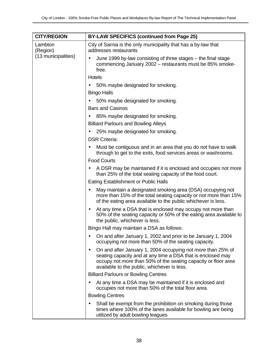| <b>CITY/REGION</b>                         | <b>BY-LAW SPECIFICS (continued from Page 25)</b>                                                                                                                                                                                            |  |
|--------------------------------------------|---------------------------------------------------------------------------------------------------------------------------------------------------------------------------------------------------------------------------------------------|--|
| Lambton<br>(Region)<br>(13 municipalities) | City of Sarnia is the only municipality that has a by-law that<br>addresses restaurants                                                                                                                                                     |  |
|                                            | June 1999 by-law consisting of three stages – the final stage<br>commencing January 2002 - restaurants must be 85% smoke-<br>free.                                                                                                          |  |
|                                            | <b>Hotels</b>                                                                                                                                                                                                                               |  |
|                                            | 50% maybe designated for smoking.<br>$\bullet$                                                                                                                                                                                              |  |
|                                            | <b>Bingo Halls</b>                                                                                                                                                                                                                          |  |
|                                            | 50% maybe designated for smoking.                                                                                                                                                                                                           |  |
|                                            | <b>Bars and Casinos</b>                                                                                                                                                                                                                     |  |
|                                            | 85% maybe designated for smoking.                                                                                                                                                                                                           |  |
|                                            | <b>Billiard Parlours and Bowling Alleys</b>                                                                                                                                                                                                 |  |
|                                            | 25% maybe designated for smoking.<br>$\bullet$                                                                                                                                                                                              |  |
|                                            | <b>DSR Criteria:</b>                                                                                                                                                                                                                        |  |
|                                            | Must be contiguous and in an area that you do not have to walk<br>٠<br>through to get to the exits, food services areas or washrooms.                                                                                                       |  |
|                                            | <b>Food Courts</b>                                                                                                                                                                                                                          |  |
|                                            | A DSR may be maintained if it is enclosed and occupies not more<br>٠<br>than 25% of the total seating capacity of the food court.                                                                                                           |  |
|                                            | Eating Establishment or Public Halls                                                                                                                                                                                                        |  |
|                                            | May maintain a designated smoking area (DSA) occupying not<br>more than 15% of the total seating capacity or not more than 15%<br>of the eating area available to the public whichever is less.                                             |  |
|                                            | At any time a DSA that is enclosed may occupy not more than<br>$\bullet$<br>50% of the seating capacity or 50% of the eating area available to<br>the public, whichever is less.                                                            |  |
|                                            | Bingo Hall may maintain a DSA as follows:                                                                                                                                                                                                   |  |
|                                            | On and after January 1, 2002 and prior to be January 1, 2004<br>occupying not more than 50% of the seating capacity.                                                                                                                        |  |
|                                            | On and after January 1, 2004 occupying not more than 25% of<br>seating capacity and at any time a DSA that is enclosed may<br>occupy not more than 50% of the seating capacity or floor area<br>available to the public, whichever is less. |  |
|                                            | <b>Billiard Parlours or Bowling Centres</b>                                                                                                                                                                                                 |  |
|                                            | At any time a DSA may be maintained if it is enclosed and<br>occupies not more than 50% of the total floor area.                                                                                                                            |  |
|                                            | <b>Bowling Centres</b>                                                                                                                                                                                                                      |  |
|                                            | Shall be exempt from the prohibition on smoking during those<br>times where 100% of the lanes available for bowling are being<br>utilized by adult bowling leagues                                                                          |  |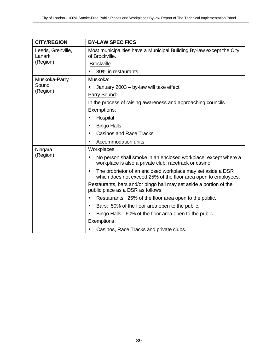| <b>CITY/REGION</b>          | <b>BY-LAW SPECIFICS</b>                                                                                                       |
|-----------------------------|-------------------------------------------------------------------------------------------------------------------------------|
| Leeds, Grenville,<br>Lanark | Most municipalities have a Municipal Building By-law except the City<br>of Brockville.                                        |
| (Region)                    | <b>Brockville</b>                                                                                                             |
|                             | 30% in restaurants.                                                                                                           |
| Muskoka-Parry               | Muskoka:                                                                                                                      |
| Sound                       | January 2003 - by-law will take effect                                                                                        |
| (Region)                    | Parry Sound:                                                                                                                  |
|                             | In the process of raising awareness and approaching councils                                                                  |
|                             | Exemptions:                                                                                                                   |
|                             | Hospital                                                                                                                      |
|                             | <b>Bingo Halls</b><br>$\bullet$                                                                                               |
|                             | <b>Casinos and Race Tracks</b>                                                                                                |
|                             | Accommodation units.                                                                                                          |
| Niagara                     | Workplaces                                                                                                                    |
| (Region)                    | No person shall smoke in an enclosed workplace, except where a<br>workplace is also a private club, racetrack or casino.      |
|                             | The proprietor of an enclosed workplace may set aside a DSR<br>which does not exceed 25% of the floor area open to employees. |
|                             | Restaurants, bars and/or bingo hall may set aside a portion of the<br>public place as a DSR as follows:                       |
|                             | Restaurants: 25% of the floor area open to the public.<br>$\bullet$                                                           |
|                             | Bars: 50% of the floor area open to the public.<br>$\bullet$                                                                  |
|                             | Bingo Halls: 60% of the floor area open to the public.                                                                        |
|                             | Exemptions:                                                                                                                   |
|                             | Casinos, Race Tracks and private clubs.                                                                                       |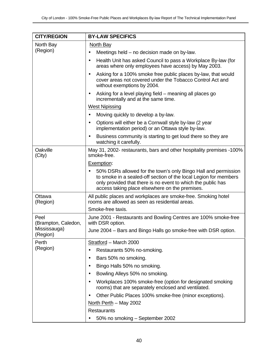| <b>CITY/REGION</b>          | <b>BY-LAW SPECIFICS</b>                                                                                                                                                                                                                              |  |
|-----------------------------|------------------------------------------------------------------------------------------------------------------------------------------------------------------------------------------------------------------------------------------------------|--|
| North Bay                   | North Bay                                                                                                                                                                                                                                            |  |
| (Region)                    | Meetings held – no decision made on by-law.                                                                                                                                                                                                          |  |
|                             | Health Unit has asked Council to pass a Workplace By-law (for<br>$\bullet$<br>areas where only employees have access) by May 2003.                                                                                                                   |  |
|                             | Asking for a 100% smoke free public places by-law, that would<br>$\bullet$<br>cover areas not covered under the Tobacco Control Act and<br>without exemptions by 2004.                                                                               |  |
|                             | Asking for a level playing field – meaning all places go<br>$\bullet$<br>incrementally and at the same time.                                                                                                                                         |  |
|                             | <b>West Nipissing</b>                                                                                                                                                                                                                                |  |
|                             | Moving quickly to develop a by-law.                                                                                                                                                                                                                  |  |
|                             | Options will either be a Cornwall style by-law (2 year<br>$\bullet$<br>implementation period) or an Ottawa style by-law.                                                                                                                             |  |
|                             | Business community is starting to get loud there so they are<br>$\bullet$<br>watching it carefully.                                                                                                                                                  |  |
| Oakville<br>(City)          | May 31, 2002- restaurants, bars and other hospitality premises -100%<br>smoke-free.                                                                                                                                                                  |  |
|                             | Exemption:                                                                                                                                                                                                                                           |  |
|                             | 50% DSRs allowed for the town's only Bingo Hall and permission<br>to smoke in a sealed-off section of the local Legion for members<br>only provided that there is no event to which the public has<br>access taking place elsewhere on the premises. |  |
| Ottawa<br>(Region)          | All public places and workplaces are smoke-free. Smoking hotel<br>rooms are allowed as seen as residential areas.                                                                                                                                    |  |
|                             | Smoke-free taxis.                                                                                                                                                                                                                                    |  |
| Peel<br>(Brampton, Caledon, | June 2001 - Restaurants and Bowling Centres are 100% smoke-free<br>with DSR option.                                                                                                                                                                  |  |
| Mississauga)<br>(Region)    | June 2004 – Bars and Bingo Halls go smoke-free with DSR option.                                                                                                                                                                                      |  |
| Perth                       | Stratford - March 2000                                                                                                                                                                                                                               |  |
| (Region)                    | Restaurants 50% no-smoking.                                                                                                                                                                                                                          |  |
|                             | Bars 50% no smoking.<br>$\bullet$                                                                                                                                                                                                                    |  |
|                             | Bingo Halls 50% no smoking.                                                                                                                                                                                                                          |  |
|                             | Bowling Alleys 50% no smoking.                                                                                                                                                                                                                       |  |
|                             | Workplaces 100% smoke-free (option for designated smoking<br>rooms) that are separately enclosed and ventilated.                                                                                                                                     |  |
|                             | Other Public Places 100% smoke-free (minor exceptions).                                                                                                                                                                                              |  |
|                             | North Perth - May 2002                                                                                                                                                                                                                               |  |
|                             | <b>Restaurants</b>                                                                                                                                                                                                                                   |  |
|                             | 50% no smoking - September 2002                                                                                                                                                                                                                      |  |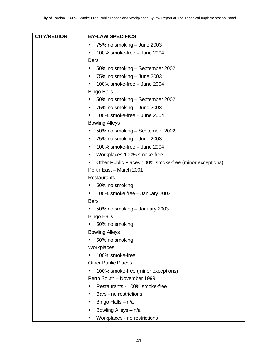| <b>CITY/REGION</b> | <b>BY-LAW SPECIFICS</b>                                |
|--------------------|--------------------------------------------------------|
|                    | 75% no smoking - June 2003<br>٠                        |
|                    | 100% smoke-free - June 2004                            |
|                    | <b>Bars</b>                                            |
|                    | 50% no smoking – September 2002                        |
|                    | 75% no smoking – June 2003<br>٠                        |
|                    | 100% smoke-free - June 2004                            |
|                    | <b>Bingo Halls</b>                                     |
|                    | 50% no smoking – September 2002                        |
|                    | 75% no smoking - June 2003<br>$\bullet$                |
|                    | 100% smoke-free - June 2004<br>$\bullet$               |
|                    | <b>Bowling Alleys</b>                                  |
|                    | 50% no smoking – September 2002                        |
|                    | 75% no smoking - June 2003<br>٠                        |
|                    | 100% smoke-free - June 2004<br>$\bullet$               |
|                    | Workplaces 100% smoke-free<br>٠                        |
|                    | Other Public Places 100% smoke-free (minor exceptions) |
|                    | Perth East - March 2001                                |
|                    | <b>Restaurants</b>                                     |
|                    | 50% no smoking                                         |
|                    | 100% smoke free - January 2003                         |
|                    | <b>Bars</b>                                            |
|                    | 50% no smoking - January 2003                          |
|                    | <b>Bingo Halls</b>                                     |
|                    | 50% no smoking                                         |
|                    | <b>Bowling Alleys</b>                                  |
|                    | 50% no smoking                                         |
|                    | Workplaces                                             |
|                    | 100% smoke-free                                        |
|                    | <b>Other Public Places</b>                             |
|                    | 100% smoke-free (minor exceptions)                     |
|                    | Perth South - November 1999                            |
|                    | Restaurants - 100% smoke-free                          |
|                    | Bars - no restrictions                                 |
|                    | Bingo Halls $- n/a$                                    |
|                    | Bowling Alleys - n/a                                   |
|                    | Workplaces - no restrictions                           |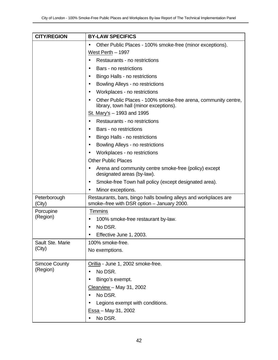| <b>CITY/REGION</b>     | <b>BY-LAW SPECIFICS</b>                                                                                        |
|------------------------|----------------------------------------------------------------------------------------------------------------|
|                        | Other Public Places - 100% smoke-free (minor exceptions).<br>$\bullet$                                         |
|                        | West Perth - 1997                                                                                              |
|                        | Restaurants - no restrictions<br>$\bullet$                                                                     |
|                        | Bars - no restrictions<br>$\bullet$                                                                            |
|                        | Bingo Halls - no restrictions<br>$\bullet$                                                                     |
|                        | Bowling Alleys - no restrictions<br>$\bullet$                                                                  |
|                        | Workplaces - no restrictions<br>$\bullet$                                                                      |
|                        | Other Public Places - 100% smoke-free arena, community centre,<br>library, town hall (minor exceptions).       |
|                        | St. Mary's - 1993 and 1995                                                                                     |
|                        | Restaurants - no restrictions<br>$\bullet$                                                                     |
|                        | Bars - no restrictions<br>$\bullet$                                                                            |
|                        | Bingo Halls - no restrictions<br>$\bullet$                                                                     |
|                        | Bowling Alleys - no restrictions<br>$\bullet$                                                                  |
|                        | Workplaces - no restrictions<br>$\bullet$                                                                      |
|                        | <b>Other Public Places</b>                                                                                     |
|                        | Arena and community centre smoke-free (policy) except<br>$\bullet$<br>designated areas (by-law).               |
|                        | Smoke-free Town hall policy (except designated area).<br>٠                                                     |
|                        | Minor exceptions.                                                                                              |
| Peterborough<br>(City) | Restaurants, bars, bingo halls bowling alleys and workplaces are<br>smoke-free with DSR option - January 2000. |
| Porcupine              | <b>Timmins</b>                                                                                                 |
| (Region)               | 100% smoke-free restaurant by-law.                                                                             |
|                        | No DSR.<br>$\bullet$                                                                                           |
|                        | Effective June 1, 2003.                                                                                        |
| Sault Ste. Marie       | 100% smoke-free.                                                                                               |
| (City)                 | No exemptions.                                                                                                 |
| <b>Simcoe County</b>   | Orillia - June 1, 2002 smoke-free.                                                                             |
| (Region)               | No DSR.                                                                                                        |
|                        | Bingo's exempt.                                                                                                |
|                        | Clearview - May 31, 2002                                                                                       |
|                        | No DSR.                                                                                                        |
|                        | Legions exempt with conditions.                                                                                |
|                        | Essa - May 31, 2002                                                                                            |
|                        | No DSR.                                                                                                        |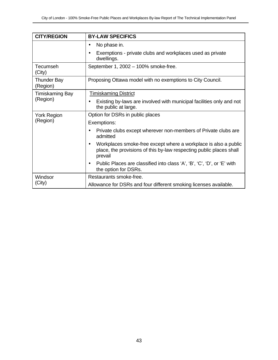| <b>CITY/REGION</b>             | <b>BY-LAW SPECIFICS</b>                                                                                                                           |
|--------------------------------|---------------------------------------------------------------------------------------------------------------------------------------------------|
|                                | No phase in.<br>$\bullet$                                                                                                                         |
|                                | Exemptions - private clubs and workplaces used as private<br>$\bullet$<br>dwellings.                                                              |
| Tecumseh<br>(City)             | September 1, 2002 - 100% smoke-free.                                                                                                              |
| <b>Thunder Bay</b><br>(Region) | Proposing Ottawa model with no exemptions to City Council.                                                                                        |
| <b>Timiskaming Bay</b>         | Timiskaming District                                                                                                                              |
| (Region)                       | Existing by-laws are involved with municipal facilities only and not<br>the public at large.                                                      |
| <b>York Region</b>             | Option for DSRs in public places                                                                                                                  |
| (Region)                       | Exemptions:                                                                                                                                       |
|                                | Private clubs except wherever non-members of Private clubs are<br>$\bullet$<br>admitted                                                           |
|                                | Workplaces smoke-free except where a workplace is also a public<br>place, the provisions of this by-law respecting public places shall<br>prevail |
|                                | Public Places are classified into class 'A', 'B', 'C', 'D', or 'E' with<br>$\bullet$<br>the option for DSRs.                                      |
| Windsor<br>(City)              | Restaurants smoke-free.                                                                                                                           |
|                                | Allowance for DSRs and four different smoking licenses available.                                                                                 |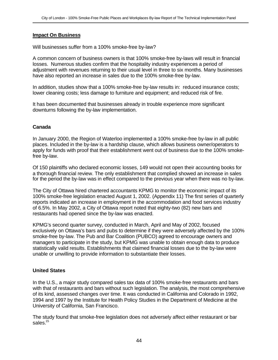#### **Impact On Business**

Will businesses suffer from a 100% smoke-free by-law?

A common concern of business owners is that 100% smoke-free by-laws will result in financial losses. Numerous studies confirm that the hospitality industry experiences a period of adjustment with revenues returning to their usual level in three to six months. Many businesses have also reported an increase in sales due to the 100% smoke-free by-law.

In addition, studies show that a 100% smoke-free by-law results in: reduced insurance costs; lower cleaning costs; less damage to furniture and equipment; and reduced risk of fire.

It has been documented that businesses already in trouble experience more significant downturns following the by-law implementation.

## **Canada**

In January 2000, the Region of Waterloo implemented a 100% smoke-free by-law in all public places. Included in the by-law is a hardship clause, which allows business owner/operators to apply for funds with proof that their establishment went out of business due to the 100% smokefree by-law.

Of 150 plaintiffs who declared economic losses, 149 would not open their accounting books for a thorough financial review. The only establishment that complied showed an increase in sales for the period the by-law was in effect compared to the previous year when there was no by-law.

The City of Ottawa hired chartered accountants KPMG to monitor the economic impact of its 100% smoke-free legislation enacted August 1, 2002. (Appendix 11) The first series of quarterly reports indicated an increase in employment in the accommodation and food services industry of 6.5%. In May 2002, a City of Ottawa report noted that eighty-two (82) new bars and restaurants had opened since the by-law was enacted.

KPMG's second quarter survey, conducted in March, April and May of 2002, focused exclusively on Ottawa's bars and pubs to determine if they were adversely affected by the 100% smoke-free by-law. The Pub and Bar Coalition (PUBCO) agreed to encourage owners and managers to participate in the study, but KPMG was unable to obtain enough data to produce statistically valid results. Establishments that claimed financial losses due to the by-law were unable or unwilling to provide information to substantiate their losses.

## **United States**

In the U.S., a major study compared sales tax data of 100% smoke-free restaurants and bars with that of restaurants and bars without such legislation. The analysis, the most comprehensive of its kind, assessed changes over time. It was conducted in California and Colorado in 1992, 1994 and 1997 by the Institute for Health Policy Studies in the Department of Medicine at the University of California, San Francisco.

The study found that smoke-free legislation does not adversely affect either restaurant or bar sales.<sup>15</sup>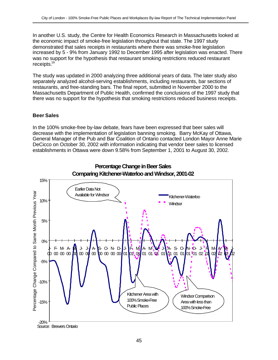In another U.S. study, the Centre for Health Economics Research in Massachusetts looked at the economic impact of smoke-free legislation throughout that state. The 1997 study demonstrated that sales receipts in restaurants where there was smoke-free legislation increased by 5 - 9% from January 1992 to December 1995 after legislation was enacted. There was no support for the hypothesis that restaurant smoking restrictions reduced restaurant receipts.<sup>16</sup>

The study was updated in 2000 analyzing three additional years of data. The later study also separately analyzed alcohol-serving establishments, including restaurants, bar sections of restaurants, and free-standing bars. The final report, submitted in November 2000 to the Massachusetts Department of Public Health, confirmed the conclusions of the 1997 study that there was no support for the hypothesis that smoking restrictions reduced business receipts.

## **Beer Sales**

In the 100% smoke-free by-law debate, fears have been expressed that beer sales will decrease with the implementation of legislation banning smoking. Barry McKay of Ottawa, General Manager of the Pub and Bar Coalition of Ontario contacted London Mayor Anne Marie DeCicco on October 30, 2002 with information indicating that vendor beer sales to licensed establishments in Ottawa were down 9.58% from September 1, 2001 to August 30, 2002.



# **Percentage Change in Beer Sales**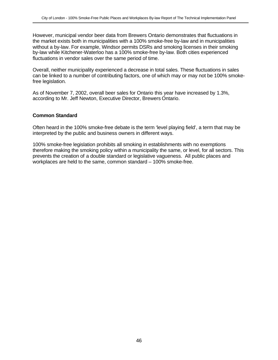However, municipal vendor beer data from Brewers Ontario demonstrates that fluctuations in the market exists both in municipalities with a 100% smoke-free by-law and in municipalities without a by-law. For example, Windsor permits DSRs and smoking licenses in their smoking by-law while Kitchener-Waterloo has a 100% smoke-free by-law. Both cities experienced fluctuations in vendor sales over the same period of time.

Overall, neither municipality experienced a decrease in total sales. These fluctuations in sales can be linked to a number of contributing factors, one of which may or may not be 100% smokefree legislation.

As of November 7, 2002, overall beer sales for Ontario this year have increased by 1.3%, according to Mr. Jeff Newton, Executive Director, Brewers Ontario.

## **Common Standard**

Often heard in the 100% smoke-free debate is the term 'level playing field', a term that may be interpreted by the public and business owners in different ways.

100% smoke-free legislation prohibits all smoking in establishments with no exemptions therefore making the smoking policy within a municipality the same, or level, for all sectors. This prevents the creation of a double standard or legislative vagueness. All public places and workplaces are held to the same, common standard – 100% smoke-free.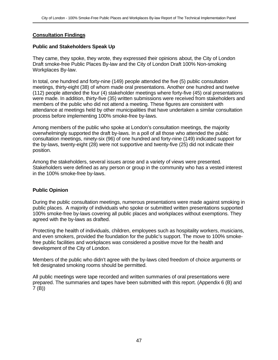## **Consultation Findings**

## **Public and Stakeholders Speak Up**

They came, they spoke, they wrote, they expressed their opinions about, the City of London Draft smoke-free Public Places By-law and the City of London Draft 100% Non-smoking Workplaces By-law.

In total, one hundred and forty-nine (149) people attended the five (5) public consultation meetings, thirty-eight (38) of whom made oral presentations. Another one hundred and twelve (112) people attended the four (4) stakeholder meetings where forty-five (45) oral presentations were made. In addition, thirty-five (35) written submissions were received from stakeholders and members of the public who did not attend a meeting. These figures are consistent with attendance at meetings held by other municipalities that have undertaken a similar consultation process before implementing 100% smoke-free by-laws.

Among members of the public who spoke at London's consultation meetings, the majority overwhelmingly supported the draft by-laws. In a poll of all those who attended the public consultation meetings, ninety-six (96) of one hundred and forty-nine (149) indicated support for the by-laws, twenty-eight (28) were not supportive and twenty-five (25) did not indicate their position.

Among the stakeholders, several issues arose and a variety of views were presented. Stakeholders were defined as any person or group in the community who has a vested interest in the 100% smoke-free by-laws.

## **Public Opinion**

During the public consultation meetings, numerous presentations were made against smoking in public places. A majority of individuals who spoke or submitted written presentations supported 100% smoke-free by-laws covering all public places and workplaces without exemptions. They agreed with the by-laws as drafted.

Protecting the health of individuals, children, employees such as hospitality workers, musicians, and even smokers, provided the foundation for the public's support. The move to 100% smokefree public facilities and workplaces was considered a positive move for the health and development of the City of London.

Members of the public who didn't agree with the by-laws cited freedom of choice arguments or felt designated smoking rooms should be permitted.

All public meetings were tape recorded and written summaries of oral presentations were prepared. The summaries and tapes have been submitted with this report. (Appendix 6 (B) and 7 (B))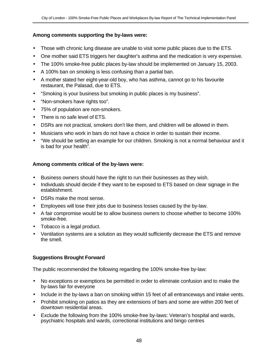## **Among comments supporting the by-laws were:**

- Those with chronic lung disease are unable to visit some public places due to the ETS.
- One mother said ETS triggers her daughter's asthma and the medication is very expensive.
- The 100% smoke-free public places by-law should be implemented on January 15, 2003.
- A 100% ban on smoking is less confusing than a partial ban.
- A mother stated her eight-year-old boy, who has asthma, cannot go to his favourite restaurant, the Palasad, due to ETS.
- "Smoking is your business but smoking in public places is my business".
- "Non-smokers have rights too".
- 75% of population are non-smokers.
- There is no safe level of ETS.
- DSRs are not practical, smokers don't like them, and children will be allowed in them.
- Musicians who work in bars do not have a choice in order to sustain their income.
- "We should be setting an example for our children. Smoking is not a normal behaviour and it is bad for your health".

# **Among comments critical of the by-laws were:**

- Business owners should have the right to run their businesses as they wish.
- Individuals should decide if they want to be exposed to ETS based on clear signage in the establishment.
- DSRs make the most sense.
- Employees will lose their jobs due to business losses caused by the by-law.
- A fair compromise would be to allow business owners to choose whether to become 100% smoke-free.
- Tobacco is a legal product.
- Ventilation systems are a solution as they would sufficiently decrease the ETS and remove the smell.

# **Suggestions Brought Forward**

The public recommended the following regarding the 100% smoke-free by-law:

- No exceptions or exemptions be permitted in order to eliminate confusion and to make the by-laws fair for everyone
- Include in the by-laws a ban on smoking within 15 feet of all entranceways and intake vents.
- Prohibit smoking on patios as they are extensions of bars and some are within 200 feet of downtown residential areas.
- Exclude the following from the 100% smoke-free by-laws: Veteran's hospital and wards, psychiatric hospitals and wards, correctional institutions and bingo centres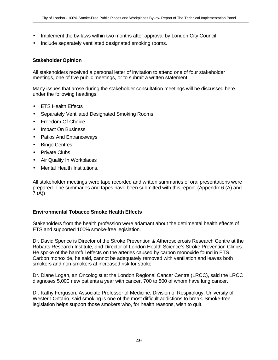- Implement the by-laws within two months after approval by London City Council.
- Include separately ventilated designated smoking rooms.

#### **Stakeholder Opinion**

All stakeholders received a personal letter of invitation to attend one of four stakeholder meetings, one of five public meetings, or to submit a written statement.

Many issues that arose during the stakeholder consultation meetings will be discussed here under the following headings:

- **ETS Health Effects**
- Separately Ventilated Designated Smoking Rooms
- Freedom Of Choice
- Impact On Business
- Patios And Entranceways
- Bingo Centres
- Private Clubs
- Air Quality In Workplaces
- Mental Health Institutions.

All stakeholder meetings were tape recorded and written summaries of oral presentations were prepared. The summaries and tapes have been submitted with this report. (Appendix 6 (A) and  $7 (A)$ 

#### **Environmental Tobacco Smoke Health Effects**

Stakeholders from the health profession were adamant about the detrimental health effects of ETS and supported 100% smoke-free legislation.

Dr. David Spence is Director of the Stroke Prevention & Atherosclerosis Research Centre at the Robarts Research Institute, and Director of London Health Science's Stroke Prevention Clinics. He spoke of the harmful effects on the arteries caused by carbon monoxide found in ETS. Carbon monoxide, he said, cannot be adequately removed with ventilation and leaves both smokers and non-smokers at increased risk for stroke

Dr. Diane Logan, an Oncologist at the London Regional Cancer Centre (LRCC), said the LRCC diagnoses 5,000 new patients a year with cancer, 700 to 800 of whom have lung cancer.

Dr. Kathy Ferguson, Associate Professor of Medicine, Division of Respirology, University of Western Ontario, said smoking is one of the most difficult addictions to break. Smoke-free legislation helps support those smokers who, for health reasons, wish to quit.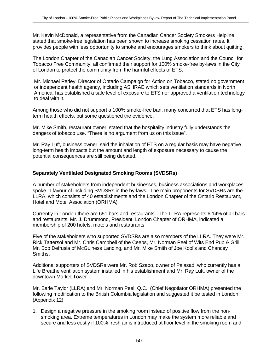Mr. Kevin McDonald, a representative from the Canadian Cancer Society Smokers Helpline, stated that smoke-free legislation has been shown to increase smoking cessation rates. It provides people with less opportunity to smoke and encourages smokers to think about quitting.

The London Chapter of the Canadian Cancer Society, the Lung Association and the Council for Tobacco Free Community, all confirmed their support for 100% smoke-free by-laws in the City of London to protect the community from the harmful effects of ETS.

Mr. Michael Perley, Director of Ontario Campaign for Action on Tobacco, stated no government or independent health agency, including ASHRAE which sets ventilation standards in North America, has established a safe level of exposure to ETS nor approved a ventilation technology to deal with it.

Among those who did not support a 100% smoke-free ban, many concurred that ETS has longterm health effects, but some questioned the evidence.

Mr. Mike Smith, restaurant owner, stated that the hospitality industry fully understands the dangers of tobacco use. "There is no argument from us on this issue".

Mr. Ray Luft, business owner, said the inhalation of ETS on a regular basis may have negative long-term health impacts but the amount and length of exposure necessary to cause the potential consequences are still being debated.

## **Separately Ventilated Designated Smoking Rooms (SVDSRs)**

A number of stakeholders from independent businesses, business associations and workplaces spoke in favour of including SVDSRs in the by-laws. The main proponents for SVDSRs are the LLRA, which consists of 40 establishments and the London Chapter of the Ontario Restaurant, Hotel and Motel Association (ORHMA).

Currently in London there are 651 bars and restaurants. The LLRA represents 6.14% of all bars and restaurants. Mr. J. Drummond, President, London Chapter of ORHMA, indicated a membership of 200 hotels, motels and restaurants.

Five of the stakeholders who supported SVDSRs are also members of the LLRA. They were Mr. Rick Tattersol and Mr. Chris Campbell of the Ceeps, Mr. Norman Peel of Wits End Pub & Grill, Mr. Bob Defrusia of McGuiness Landing, and Mr. Mike Smith of Joe Kool's and Chancey Smiths.

Additional supporters of SVDSRs were Mr. Rob Szabo, owner of Palasad, who currently has a Life Breathe ventilation system installed in his establishment and Mr. Ray Luft, owner of the downtown Market Tower

Mr. Earle Taylor (LLRA) and Mr. Norman Peel, Q.C., (Chief Negotiator ORHMA) presented the following modification to the British Columbia legislation and suggested it be tested in London: (Appendix 12)

1. Design a negative pressure in the smoking room instead of positive flow from the nonsmoking area. Extreme temperatures in London may make the system more reliable and secure and less costly if 100% fresh air is introduced at floor level in the smoking room and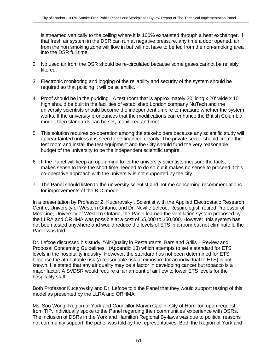is streamed vertically to the ceiling where it is 100% exhausted through a heat exchanger. If that fresh air system in the DSR can run at negative pressure, any time a door opened, air from the non smoking zone will flow in but will not have to be fed from the non-smoking area into the DSR full time.

- 2. No used air from the DSR should be re-circulated because some gases cannot be reliably filtered.
- 3. Electronic monitoring and logging of the reliability and security of the system should be required so that policing it will be scientific.
- 4. Proof should be in the pudding. A test room that is approximately 30' long x 20' wide x 10' high should be built in the facilities of established London company NuTech and the university scientists should become the independent umpire to measure whether the system works. If the university pronounces that the modifications can enhance the British Columbia model, then standards can be set, monitored and met.
- 5. This solution requires co-operation among the stakeholders because any scientific study will appear tainted unless it is seen to be financed cleanly. The private sector should create the test room and install the test equipment and the City should fund the very reasonable budget of the university to be the independent scientific umpire.
- 6. If the Panel will keep an open mind to let the university scientists measure the facts, it makes sense to take the short time needed to do so but it makes no sense to proceed if this co-operative approach with the university is not supported by the city.
- 7. The Panel should listen to the university scientist and not me concerning recommendations for improvements of the B.C. model.

In a presentation by Professor Z. Kucerovsky , Scientist with the Applied Electrostatic Research Centre, University of Western Ontario, and Dr. Neville Lefcoe, Respirologist, retired Professor of Medicine, University of Western Ontario, the Panel learned the ventilation system proposed by the LLRA and ORHMA was possible at a cost of \$5,000 to \$50,000. However, this system has not been tested anywhere and would reduce the levels of ETS in a room but not eliminate it, the Panel was told.

Dr. Lefcoe discussed his study, "Air Quality in Restaurants, Bars and Grills – Review and Proposal Concerning Guidelines," (Appendix 13) which attempts to set a standard for ETS levels in the hospitality industry. However, the standard has not been determined for ETS because the attributable risk (a reasonable risk of exposure for an individual to ETS) is not known. He stated that any air quality may be a factor in developing cancer but tobacco is a major factor. A SVDSR would require a fair amount of air flow to lower ETS levels for the hospitality staff.

Both Professor Kucerovsky and Dr. Lefcoe told the Panel that they would support testing of this model as presented by the LLRA and ORHMA.

Ms. Soo Wong, Region of York and Councillor Marvin Caplin, City of Hamilton upon request from TIP, individually spoke to the Panel regarding their communities' experience with DSRs. The inclusion of DSRs in the York and Hamilton Regional By-laws was due to political reasons not community support, the panel was told by the representatives. Both the Region of York and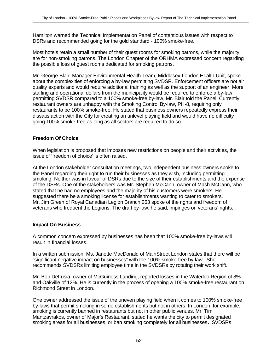Hamilton warned the Technical Implementation Panel of contentious issues with respect to DSRs and recommended going for the gold standard - 100% smoke-free.

Most hotels retain a small number of their guest rooms for smoking patrons, while the majority are for non-smoking patrons. The London Chapter of the ORHMA expressed concern regarding the possible loss of guest rooms dedicated for smoking patrons.

Mr. George Blair, Manager Environmental Health Team, Middlesex-London Health Unit, spoke about the complexities of enforcing a by-law permitting SVDSR. Enforcement officers are not air quality experts and would require additional training as well as the support of an engineer. More staffing and operational dollars from the municipality would be required to enforce a by-law permitting SVDSR compared to a 100% smoke-free by-law, Mr. Blair told the Panel. Currently restaurant owners are unhappy with the Smoking Control By-law, PH-8, requiring only restaurants to be 100% smoke-free. He stated that business owners repeatedly express their dissatisfaction with the City for creating an unlevel playing field and would have no difficulty going 100% smoke-free as long as all sectors are required to do so.

## **Freedom Of Choice**

When legislation is proposed that imposes new restrictions on people and their activities, the issue of 'freedom of choice' is often raised.

At the London stakeholder consultation meetings, two independent business owners spoke to the Panel regarding their right to run their businesses as they wish, including permitting smoking. Neither was in favour of DSRs due to the size of their establishments and the expense of the DSRs. One of the stakeholders was Mr. Stephen McCann, owner of Mash McCann, who stated that he had no employees and the majority of his customers were smokers. He suggested there be a smoking license for establishments wanting to cater to smokers. Mr. Jim Green of Royal Canadian Legion Branch 263 spoke of the rights and freedom of veterans who frequent the Legions. The draft by-law, he said, impinges on veterans' rights.

## **Impact On Business**

A common concern expressed by businesses has been that 100% smoke-free by-laws will result in financial losses.

In a written submission, Ms. Janette MacDonald of MainStreet London states that there will be "significant negative impact on businesses" with the 100% smoke-free by-law. She recommends SVDSRs limiting employee time in the SVDSRs by rotating their work shift.

Mr. Bob Defrusia, owner of McGuiness Landing, reported losses in the Waterloo Region of 8% and Oakville of 12%. He is currently in the process of opening a 100% smoke-free restaurant on Richmond Street in London.

One owner addressed the issue of the uneven playing field when it comes to 100% smoke-free by-laws that permit smoking in some establishments but not in others. In London, for example, smoking is currently banned in restaurants but not in other public venues. Mr. Tim Mantzavrakos, owner of Major's Restaurant, stated he wants the city to permit designated smoking areas for all businesses, or ban smoking completely for all businesses**.** SVDSRs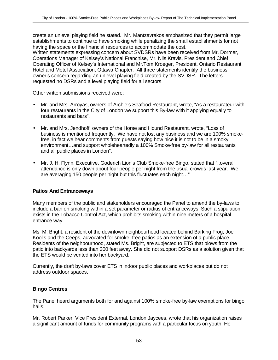create an unlevel playing field he stated. Mr. Mantzavrakos emphasized that they permit large establishments to continue to have smoking while penalizing the small establishments for not having the space or the financial resources to accommodate the cost. Written statements expressing concern about SVDSRs have been received from Mr. Dormer, Operations Manager of Kelsey's National Franchise, Mr. Nils Kravis, President and Chief Operating Officer of Kelsey's International and Mr.Tom Kroeger, President, Ontario Restaurant, Hotel and Motel Association, Ottawa Chapter. All three statements identify the business owner's concern regarding an unlevel playing field created by the SVDSR. The letters requested no DSRs and a level playing field for all sectors.

Other written submissions received were:

- Mr. and Mrs. Arroyas, owners of Archie's Seafood Restaurant, wrote, "As a restaurateur with four restaurants in the City of London we support this By-law with it applying equally to restaurants and bars".
- Mr. and Mrs. Jendhoff, owners of the Horse and Hound Restaurant, wrote, "Loss of business is mentioned frequently. We have not lost any business and we are 100% smokefree, in fact we hear comments from guests saying how nice it is not to be in a smoky environment…and support wholeheartedly a 100% Smoke-free by-law for all restaurants and all public places in London".
- Mr. J. H. Flynn, Executive, Goderich Lion's Club Smoke-free Bingo, stated that "..overall attendance is only down about four people per night from the usual crowds last year. We are averaging 150 people per night but this fluctuates each night…"

## **Patios And Entranceways**

Many members of the public and stakeholders encouraged the Panel to amend the by-laws to include a ban on smoking within a set parameter or radius of entranceways. Such a stipulation exists in the Tobacco Control Act, which prohibits smoking within nine meters of a hospital entrance way.

Ms. M. Bright, a resident of the downtown neighbourhood located behind Barking Frog, Joe Kool's and the Ceeps, advocated for smoke–free patios as an extension of a public place. Residents of the neighbourhood, stated Ms. Bright, are subjected to ETS that blows from the patio into backyards less than 200 feet away. She did not support DSRs as a solution given that the ETS would be vented into her backyard.

Currently, the draft by-laws cover ETS in indoor public places and workplaces but do not address outdoor spaces.

## **Bingo Centres**

The Panel heard arguments both for and against 100% smoke-free by-law exemptions for bingo halls.

Mr. Robert Parker, Vice President External, London Jaycees, wrote that his organization raises a significant amount of funds for community programs with a particular focus on youth. He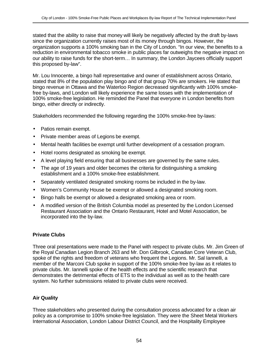stated that the ability to raise that money will likely be negatively affected by the draft by-laws since the organization currently raises most of its money through bingos. However, the organization supports a 100% smoking ban in the City of London. "In our view, the benefits to a reduction in environmental tobacco smoke in public places far outweighs the negative impact on our ability to raise funds for the short-term… In summary, the London Jaycees officially support this proposed by-law".

Mr. Lou Innocente, a bingo hall representative and owner of establishment across Ontario, stated that 8% of the population play bingo and of that group 70% are smokers. He stated that bingo revenue in Ottawa and the Waterloo Region decreased significantly with 100% smokefree by-laws, and London will likely experience the same losses with the implementation of 100% smoke-free legislation. He reminded the Panel that everyone in London benefits from bingo, either directly or indirectly.

Stakeholders recommended the following regarding the 100% smoke-free by-laws:

- Patios remain exempt.
- Private member areas of Legions be exempt.
- Mental health facilities be exempt until further development of a cessation program.
- Hotel rooms designated as smoking be exempt.
- A level playing field ensuring that all businesses are governed by the same rules.
- The age of 19 years and older becomes the criteria for distinguishing a smoking establishment and a 100% smoke-free establishment.
- Separately ventilated designated smoking rooms be included in the by-law.
- Women's Community House be exempt or allowed a designated smoking room.
- Bingo halls be exempt or allowed a designated smoking area or room.
- A modified version of the British Columbia model as presented by the London Licensed Restaurant Association and the Ontario Restaurant, Hotel and Motel Association, be incorporated into the by-law.

## **Private Clubs**

Three oral presentations were made to the Panel with respect to private clubs. Mr. Jim Green of the Royal Canadian Legion Branch 263 and Mr. Don Gilbrook, Canadian Core Veteran Club, spoke of the rights and freedom of veterans who frequent the Legions. Mr. Sal Iannelli, a member of the Marconi Club spoke in support of the 100% smoke-free by-law as it relates to private clubs. Mr. Iannelli spoke of the health effects and the scientific research that demonstrates the detrimental effects of ETS to the individual as well as to the health care system. No further submissions related to private clubs were received.

# **Air Quality**

Three stakeholders who presented during the consultation process advocated for a clean air policy as a compromise to 100% smoke-free legislation. They were the Sheet Metal Workers International Association, London Labour District Council, and the Hospitality Employee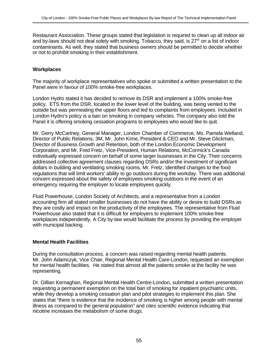Restaurant Association. These groups stated that legislation is required to clean up all indoor air and by-laws should not deal solely with smoking. Tobacco, they said, is  $27<sup>th</sup>$  on a list of indoor contaminants. As well, they stated that business owners should be permitted to decide whether or not to prohibit smoking in their establishment.

## **Workplaces**

The majority of workplace representatives who spoke or submitted a written presentation to the Panel were in favour of 100% smoke-free workplaces.

London Hydro stated it has decided to remove its DSR and implement a 100% smoke-free policy. ETS from the DSR, located in the lower level of the building, was being vented to the outside but was permeating the upper floors and led to complaints from employees. Included in London Hydro's policy is a ban on smoking in company vehicles. The company also told the Panel it is offering smoking cessation programs to employees who would like to quit.

Mr. Gerry McCartney, General Manager, London Chamber of Commerce, Ms. Pamela Welland, Director of Public Relations, 3M, Mr. John Kime, President & CEO and Mr. Steve Glickman, Director of Business Growth and Retention, both of the London Economic Development Corporation, and Mr. Fred Fretz, Vice-President, Human Relations, McCormick's Canada individually expressed concern on behalf of some larger businesses in the City. Their concerns addressed collective agreement clauses regarding DSRs and/or the investment of significant dollars in building and ventilating smoking rooms. Mr. Fretz, identified changes to the food regulations that will limit workers' ability to go outdoors during the workday. There was additional concern expressed about the safety of employees smoking outdoors in the event of an emergency requiring the employer to locate employees quickly.

Fluid Powerhouse, London Society of Architects, and a representative from a London accounting firm all stated smaller businesses do not have the ability or desire to build DSRs as they are costly and impact on the productivity of the employees. The representative from Fluid Powerhouse also stated that it is difficult for employers to implement 100% smoke-free workplaces independently. A City by-law would facilitate the process by providing the employer with municipal backing.

## **Mental Health Facilities**

During the consultation process, a concern was raised regarding mental health patients. Mr. John Adamczyk, Vice Chair, Regional Mental Health Care-London, requested an exemption for mental health facilities. He stated that almost all the patients smoke at the facility he was representing.

Dr. Gillian Kernaghan, Regional Mental Health Centre-London, submitted a written presentation requesting a permanent exemption on the total ban of smoking for inpatient psychiatric units, while they develop a smoking cessation plan and pilot strategies to implement this plan. She states that "there is evidence that the incidence of smoking is higher among people with mental illness as compared to the general population" and cites scientific evidence indicating that nicotine increases the metabolism of some drugs.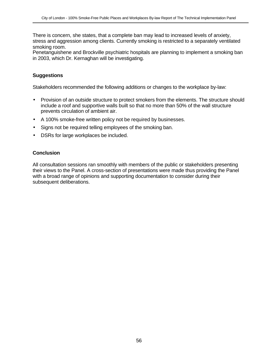There is concern, she states, that a complete ban may lead to increased levels of anxiety, stress and aggression among clients. Currently smoking is restricted to a separately ventilated smoking room.

Penetanguishene and Brockville psychiatric hospitals are planning to implement a smoking ban in 2003, which Dr. Kernaghan will be investigating.

## **Suggestions**

Stakeholders recommended the following additions or changes to the workplace by-law:

- Provision of an outside structure to protect smokers from the elements. The structure should include a roof and supportive walls built so that no more than 50% of the wall structure prevents circulation of ambient air.
- A 100% smoke-free written policy not be required by businesses.
- Signs not be required telling employees of the smoking ban.
- DSRs for large workplaces be included.

## **Conclusion**

All consultation sessions ran smoothly with members of the public or stakeholders presenting their views to the Panel. A cross-section of presentations were made thus providing the Panel with a broad range of opinions and supporting documentation to consider during their subsequent deliberations.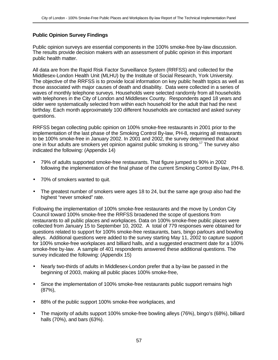## **Public Opinion Survey Findings**

Public opinion surveys are essential components in the 100% smoke-free by-law discussion. The results provide decision makers with an assessment of public opinion in this important public health matter.

All data are from the Rapid Risk Factor Surveillance System (RRFSS) and collected for the Middlesex-London Health Unit (MLHU) by the Institute of Social Research, York University. The objective of the RRFSS is to provide local information on key public health topics as well as those associated with major causes of death and disability. Data were collected in a series of waves of monthly telephone surveys. Households were selected randomly from all households with telephones in the City of London and Middlesex County. Respondents aged 18 years and older were systematically selected from within each household for the adult that had the next birthday. Each month approximately 100 different households are contacted and asked survey questions.

RRFSS began collecting public opinion on 100% smoke-free restaurants in 2001 prior to the implementation of the last phase of the Smoking Control By-law, PH-8, requiring all restaurants to be 100% smoke-free in January 2002. In 2001 and 2002, the survey determined that about one in four adults are smokers yet opinion against public smoking is strong.<sup>17</sup> The survey also indicated the following: (Appendix 14)

- 79% of adults supported smoke-free restaurants. That figure jumped to 90% in 2002 following the implementation of the final phase of the current Smoking Control By-law, PH-8.
- 70% of smokers wanted to quit.
- The greatest number of smokers were ages 18 to 24, but the same age group also had the highest "never smoked" rate.

Following the implementation of 100% smoke-free restaurants and the move by London City Council toward 100% smoke-free the RRFSS broadened the scope of questions from restaurants to all public places and workplaces. Data on 100% smoke-free public places were collected from January 15 to September 10, 2002. A total of 779 responses were obtained for questions related to support for 100% smoke-free restaurants, bars, bingo parlours and bowling alleys. Additional questions were added to the survey starting May 11, 2002 to capture support for 100% smoke-free workplaces and billiard halls, and a suggested enactment date for a 100% smoke-free by-law. A sample of 401 respondents answered these additional questions. The survey indicated the following: (Appendix 15)

- Nearly two-thirds of adults in Middlesex-London prefer that a by-law be passed in the beginning of 2003, making all public places 100% smoke-free,
- Since the implementation of 100% smoke-free restaurants public support remains high (87%),
- 88% of the public support 100% smoke-free workplaces, and
- The majority of adults support 100% smoke-free bowling alleys (76%), bingo's (68%), billiard halls (70%), and bars (63%).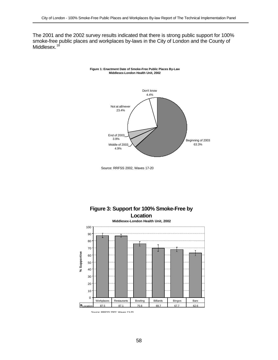The 2001 and the 2002 survey results indicated that there is strong public support for 100% smoke-free public places and workplaces by-laws in the City of London and the County of Middlesex.<sup>18</sup>







Source: RRFSS 2002, Waves 17-20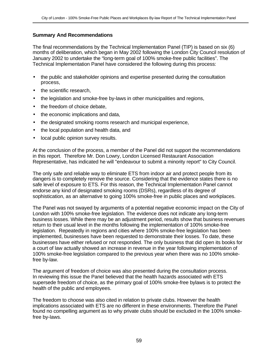## **Summary And Recommendations**

The final recommendations by the Technical Implementation Panel (TIP) is based on six (6) months of deliberation, which began in May 2002 following the London City Council resolution of January 2002 to undertake the "long-term goal of 100% smoke-free public facilities". The Technical Implementation Panel have considered the following during this process:

- the public and stakeholder opinions and expertise presented during the consultation process,
- the scientific research.
- the legislation and smoke-free by-laws in other municipalities and regions,
- the freedom of choice debate.
- the economic implications and data,
- the designated smoking rooms research and municipal experience,
- the local population and health data, and
- local public opinion survey results.

At the conclusion of the process, a member of the Panel did not support the recommendations in this report. Therefore Mr. Don Lowry, London Licensed Restaurant Association Representative, has indicated he will "endeavour to submit a minority report" to City Council.

The only safe and reliable way to eliminate ETS from indoor air and protect people from its dangers is to completely remove the source. Considering that the evidence states there is no safe level of exposure to ETS. For this reason, the Technical Implementation Panel cannot endorse any kind of designated smoking rooms (DSRs), regardless of its degree of sophistication, as an alternative to going 100% smoke-free in public places and workplaces.

The Panel was not swayed by arguments of a potential negative economic impact on the City of London with 100% smoke-free legislation. The evidence does not indicate any long-term business losses. While there may be an adjustment period, results show that business revenues return to their usual level in the months following the implementation of 100% smoke-free legislation. Repeatedly in regions and cities where 100% smoke-free legislation has been implemented, businesses have been requested to demonstrate their losses. To date, these businesses have either refused or not responded. The only business that did open its books for a court of law actually showed an increase in revenue in the year following implementation of 100% smoke-free legislation compared to the previous year when there was no 100% smokefree by-law.

The argument of freedom of choice was also presented during the consultation process. In reviewing this issue the Panel believed that the health hazards associated with ETS supersede freedom of choice, as the primary goal of 100% smoke-free bylaws is to protect the health of the public and employees.

The freedom to choose was also cited in relation to private clubs. However the health implications associated with ETS are no different in these environments. Therefore the Panel found no compelling argument as to why private clubs should be excluded in the 100% smokefree by-laws.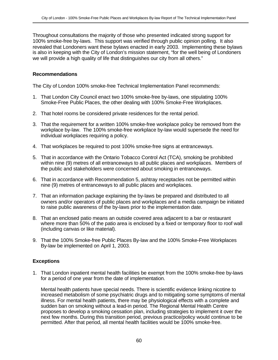Throughout consultations the majority of those who presented indicated strong support for 100% smoke-free by-laws. This support was verified through public opinion polling. It also revealed that Londoners want these bylaws enacted in early 2003. Implementing these bylaws is also in keeping with the City of London's mission statement, "for the well being of Londoners we will provide a high quality of life that distinguishes our city from all others."

#### **Recommendations**

The City of London 100% smoke-free Technical Implementation Panel recommends:

- 1. That London City Council enact two 100% smoke-free by-laws, one stipulating 100% Smoke-Free Public Places, the other dealing with 100% Smoke-Free Workplaces.
- 2. That hotel rooms be considered private residences for the rental period.
- 3. That the requirement for a written 100% smoke-free workplace policy be removed from the workplace by-law. The 100% smoke-free workplace by-law would supersede the need for individual workplaces requiring a policy.
- 4. That workplaces be required to post 100% smoke-free signs at entranceways.
- 5. That in accordance with the Ontario Tobacco Control Act (TCA), smoking be prohibited within nine (9) metres of all entranceways to all public places and workplaces. Members of the public and stakeholders were concerned about smoking in entranceways.
- 6. That in accordance with Recommendation 5, ashtray receptacles not be permitted within nine (9) metres of entranceways to all public places and workplaces.
- 7. That an information package explaining the by-laws be prepared and distributed to all owners and/or operators of public places and workplaces and a media campaign be initiated to raise public awareness of the by-laws prior to the implementation date.
- 8. That an enclosed patio means an outside covered area adjacent to a bar or restaurant where more than 50% of the patio area is enclosed by a fixed or temporary floor to roof wall (including canvas or like material).
- 9. That the 100% Smoke-free Public Places By-law and the 100% Smoke-Free Workplaces By-law be implemented on April 1, 2003.

## **Exceptions**

1. That London inpatient mental health facilities be exempt from the 100% smoke-free by-laws for a period of one year from the date of implementation.

Mental health patients have special needs. There is scientific evidence linking nicotine to increased metabolism of some psychiatric drugs and to mitigating some symptoms of mental illness. For mental health patients, there may be physiological effects with a complete and sudden ban on smoking without a lead-in period. The Regional Mental Health Centre proposes to develop a smoking cessation plan, including strategies to implement it over the next few months. During this transition period, previous practice/policy would continue to be permitted. After that period, all mental health facilities would be 100% smoke-free.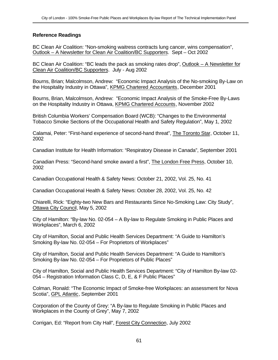## **Reference Readings**

BC Clean Air Coalition: "Non-smoking waitress contracts lung cancer, wins compensation", Outlook – A Newsletter for Clean Air Coalition/BC Supporters. Sept – Oct 2002

BC Clean Air Coalition: "BC leads the pack as smoking rates drop", Outlook – A Newsletter for Clean Air Coalition/BC Supporters. July - Aug 2002

Bourns, Brian; Malcolmson, Andrew: "Economic Impact Analysis of the No-smoking By-Law on the Hospitality Industry in Ottawa", KPMG Chartered Accountants, December 2001

Bourns, Brian, Malcolmson, Andrew: "Economic Impact Analysis of the Smoke-Free By-Laws on the Hospitality Industry in Ottawa, KPMG Chartered Accounts, November 2002

British Columbia Workers' Compensation Board (WCB): "Changes to the Environmental Tobacco Smoke Sections of the Occupational Health and Safety Regulation", May 1, 2002

Calamai, Peter: "First-hand experience of second-hand threat", The Toronto Star, October 11, 2002

Canadian Institute for Health Information: "Respiratory Disease in Canada", September 2001

Canadian Press: "Second-hand smoke award a first", The London Free Press, October 10, 2002

Canadian Occupational Health & Safety News: October 21, 2002, Vol. 25, No. 41

Canadian Occupational Health & Safety News: October 28, 2002, Vol. 25, No. 42

Chiarelli, Rick: "Eighty-two New Bars and Restaurants Since No-Smoking Law: City Study", Ottawa City Council, May 5, 2002

City of Hamilton: "By-law No. 02-054 – A By-law to Regulate Smoking in Public Places and Workplaces", March 6, 2002

City of Hamilton, Social and Public Health Services Department: "A Guide to Hamilton's Smoking By-law No. 02-054 – For Proprietors of Workplaces"

City of Hamilton, Social and Public Health Services Department: "A Guide to Hamilton's Smoking By-law No. 02-054 – For Proprietors of Public Places"

City of Hamilton, Social and Public Health Services Department: "City of Hamilton By-law 02- 054 – Registration Information Class C, D, E, & F Public Places"

Colman, Ronald: "The Economic Impact of Smoke-free Workplaces: an assessment for Nova Scotia", GPL Atlantic, September 2001

Corporation of the County of Grey: "A By-law to Regulate Smoking in Public Places and Workplaces in the County of Grey", May 7, 2002

Corrigan, Ed: "Report from City Hall", Forest City Connection, July 2002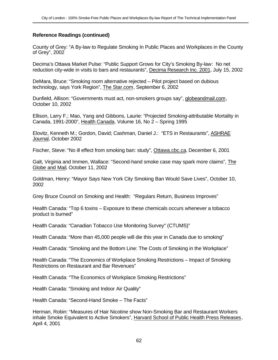County of Grey: "A By-law to Regulate Smoking In Public Places and Workplaces in the County of Grey", 2002

Decima's Ottawa Market Pulse: "Public Support Grows for City's Smoking By-law: No net reduction city-wide in visits to bars and restaurants", Decima Research Inc. 2001, July 15, 2002

DeMara, Bruce: "Smoking room alternative rejected – Pilot project based on dubious technology, says York Region", The Star.com, September 6, 2002

Dunfield, Allison: "Governments must act, non-smokers groups say", globeandmail.com, October 10, 2002

Ellison, Larry F.; Mao, Yang and Gibbons, Laurie: "Projected Smoking-attributable Mortality in Canada, 1991-2000", Health Canada, Volume 16, No 2 – Spring 1995

Elovitz, Kenneth M.; Gordon, David; Cashman, Daniel J.: "ETS in Restaurants", ASHRAE Journal, October 2002

Fischer, Steve: "No ill effect from smoking ban: study", Ottawa.cbc.ca, December 6, 2001

Galt, Virginia and Immen, Wallace: "Second-hand smoke case may spark more claims", The Globe and Mail, October 11, 2002

Goldman, Henry: "Mayor Says New York City Smoking Ban Would Save Lives", October 10, 2002

Grey Bruce Council on Smoking and Health: "Regulars Return, Business Improves"

Health Canada: "Top 6 toxins – Exposure to these chemicals occurs whenever a tobacco product is burned"

Health Canada: "Canadian Tobacco Use Monitoring Survey" (CTUMS)"

Health Canada: "More than 45,000 people will die this year in Canada due to smoking"

Health Canada: "Smoking and the Bottom Line: The Costs of Smoking in the Workplace"

Health Canada: "The Economics of Workplace Smoking Restrictions – Impact of Smoking Restrictions on Restaurant and Bar Revenues"

Health Canada: "The Economics of Workplace Smoking Restrictions"

Health Canada: "Smoking and Indoor Air Quality"

Health Canada: "Second-Hand Smoke – The Facts"

Herman, Robin: "Measures of Hair Nicotine show Non-Smoking Bar and Restaurant Workers inhale Smoke Equivalent to Active Smokers", Harvard School of Public Health Press Releases, April 4, 2001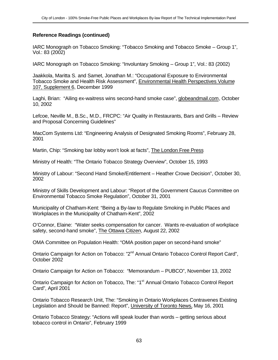IARC Monograph on Tobacco Smoking: "Tobacco Smoking and Tobacco Smoke – Group 1", Vol.: 83 (2002)

IARC Monograph on Tobacco Smoking: "Involuntary Smoking – Group 1", Vol.: 83 (2002)

Jaakkola, Maritta S. and Samet, Jonathan M.: "Occupational Exposure to Environmental Tobacco Smoke and Health Risk Assessment", Environmental Health Perspectives Volume 107, Supplement 6, December 1999

Laghi, Brian: "Ailing ex-waitress wins second-hand smoke case", globeandmail.com, October 10, 2002

Lefcoe, Neville M., B.Sc., M.D., FRCPC: "Air Quality in Restaurants, Bars and Grills – Review and Proposal Concerning Guidelines"

MacCom Systems Ltd: "Engineering Analysis of Designated Smoking Rooms", February 28, 2001

Martin, Chip: "Smoking bar lobby won't look at facts", The London Free Press

Ministry of Health: "The Ontario Tobacco Strategy Overview", October 15, 1993

Ministry of Labour: "Second Hand Smoke/Entitlement – Heather Crowe Decision", October 30, 2002

Ministry of Skills Development and Labour: "Report of the Government Caucus Committee on Environmental Tobacco Smoke Regulation", October 31, 2001

Municipality of Chatham-Kent: "Being a By-law to Regulate Smoking in Public Places and Workplaces in the Municipality of Chatham-Kent", 2002

O'Connor, Elaine: "Water seeks compensation for cancer. Wants re-evaluation of workplace safety, second-hand smoke", The Ottawa Citizen, August 22, 2002

OMA Committee on Population Health: "OMA position paper on second-hand smoke"

Ontario Campaign for Action on Tobacco: "2<sup>nd</sup> Annual Ontario Tobacco Control Report Card", October 2002

Ontario Campaign for Action on Tobacco: "Memorandum – PUBCO", November 13, 2002

Ontario Campaign for Action on Tobacco, The: "1<sup>st</sup> Annual Ontario Tobacco Control Report Card", April 2001

Ontario Tobacco Research Unit, The: "Smoking in Ontario Workplaces Contravenes Existing Legislation and Should be Banned: Report", University of Toronto News, May 16, 2001

Ontario Tobacco Strategy: "Actions will speak louder than words – getting serious about tobacco control in Ontario", February 1999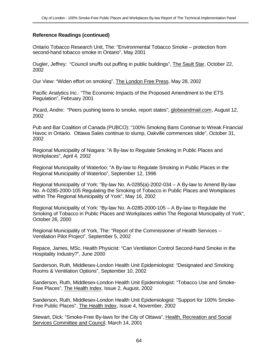Ontario Tobacco Research Unit, The: "Environmental Tobacco Smoke – protection from second-hand tobacco smoke in Ontario", May 2001

Ougler, Jeffrey: "Council snuffs out puffing in public buildings", The Sault Star, October 22, 2002

Our View: "Widen effort on smoking", The London Free Press, May 28, 2002

Pacific Analytics Inc.: "The Economic Impacts of the Proposed Amendment to the ETS Regulation", February 2001

Picard, Andre: "Peers pushing teens to smoke, report states", globeandmail.com, August 12, 2002

Pub and Bar Coalition of Canada (PUBCO): "100% Smoking Bans Continue to Wreak Financial Havoc in Ontario. Ottawa Sales continue to slump, Oakville commences slide", October 31, 2002

Regional Municipality of Niagara: "A By-law to Regulate Smoking in Public Places and Workplaces", April 4, 2002

Regional Municipality of Waterloo: "A By-law to Regulate Smoking in Public Places in the Regional Municipality of Waterloo", September 12, 1996

Regional Municipality of York: "By-law No. A-0285(a)-2002-034 – A By-law to Amend By-law No. A-0285-2000-105 Regulating the Smoking of Tobacco in Public Places and Workplaces within The Regional Municipality of York", May 16, 2002

Regional Municipality of York: "By-law No. A-0285-2000-105 – A By-law to Regulate the Smoking of Tobacco in Public Places and Workplaces within The Regional Municipality of York", October 26, 2000

Regional Municipality of York, The: "Report of the Commissioner of Health Services – Ventilation Pilot Project", September 5, 2002

Repace, James, MSc, Health Physicist: "Can Ventilation Control Second-hand Smoke in the Hospitality Industry?", June 2000

Sanderson, Ruth, Middlesex-London Health Unit Epidemiologist: "Designated and Smoking Rooms & Ventilation Options", September 10, 2002

Sanderson, Ruth, Middlesex-London Health Unit Epidemiologist: "Tobacco Use and Smoke-Free Places", The Health Index, Issue 2, August, 2002

Sanderson, Ruth, Middlesex-London Health Unit Epidemiologist: "Support for 100% Smoke-Free Public Places", The Health Index, Issue 4, November, 2002

Stewart, Dick: "Smoke-Free By-laws for the City of Ottawa", Health, Recreation and Social Services Committee and Council, March 14, 2001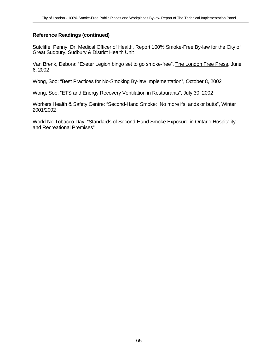Sutcliffe, Penny, Dr. Medical Officer of Health, Report 100% Smoke-Free By-law for the City of Great Sudbury. Sudbury & District Health Unit

Van Brenk, Debora: "Exeter Legion bingo set to go smoke-free", The London Free Press, June 6, 2002

Wong, Soo: "Best Practices for No-Smoking By-law Implementation", October 8, 2002

Wong, Soo: "ETS and Energy Recovery Ventilation in Restaurants", July 30, 2002

Workers Health & Safety Centre: "Second-Hand Smoke: No more ifs, ands or butts", Winter 2001/2002

World No Tobacco Day: "Standards of Second-Hand Smoke Exposure in Ontario Hospitality and Recreational Premises"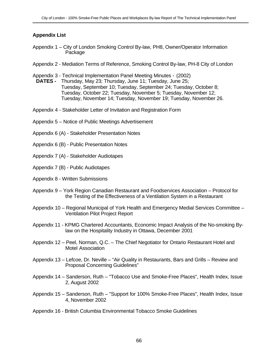## **Appendix List**

- Appendix 1 City of London Smoking Control By-law, PH8, Owner/Operator Information Package
- Appendix 2 Mediation Terms of Reference, Smoking Control By-law, PH-8 City of London
- Appendix 3 Technical Implementation Panel Meeting Minutes (2002)
	- **DATES -** Thursday, May 23; Thursday, June 11; Tuesday, June 25; Tuesday, September 10; Tuesday, September 24; Tuesday, October 8; Tuesday, October 22; Tuesday, November 5; Tuesday, November 12; Tuesday, November 14; Tuesday, November 19; Tuesday, November 26.
- Appendix 4 Stakeholder Letter of Invitation and Registration Form
- Appendix 5 Notice of Public Meetings Advertisement
- Appendix 6 (A) Stakeholder Presentation Notes
- Appendix 6 (B) Public Presentation Notes
- Appendix 7 (A) Stakeholder Audiotapes
- Appendix 7 (B) Public Audiotapes
- Appendix 8 Written Submissions
- Appendix 9 York Region Canadian Restaurant and Foodservices Association Protocol for the Testing of the Effectiveness of a Ventilation System in a Restaurant
- Appendix 10 Regional Municipal of York Health and Emergency Medial Services Committee Ventilation Pilot Project Report
- Appendix 11 KPMG Chartered Accountants, Economic Impact Analysis of the No-smoking Bylaw on the Hospitality Industry in Ottawa, December 2001
- Appendix 12 Peel, Norman, Q.C. The Chief Negotiator for Ontario Restaurant Hotel and Motel Association
- Appendix 13 Lefcoe, Dr. Neville "Air Quality in Restaurants, Bars and Grills Review and Proposal Concerning Guidelines"
- Appendix 14 Sanderson, Ruth "Tobacco Use and Smoke-Free Places", Health Index, Issue 2, August 2002
- Appendix 15 Sanderson, Ruth "Support for 100% Smoke-Free Places", Health Index, Issue 4, November 2002
- Appendix 16 British Columbia Environmental Tobacco Smoke Guidelines